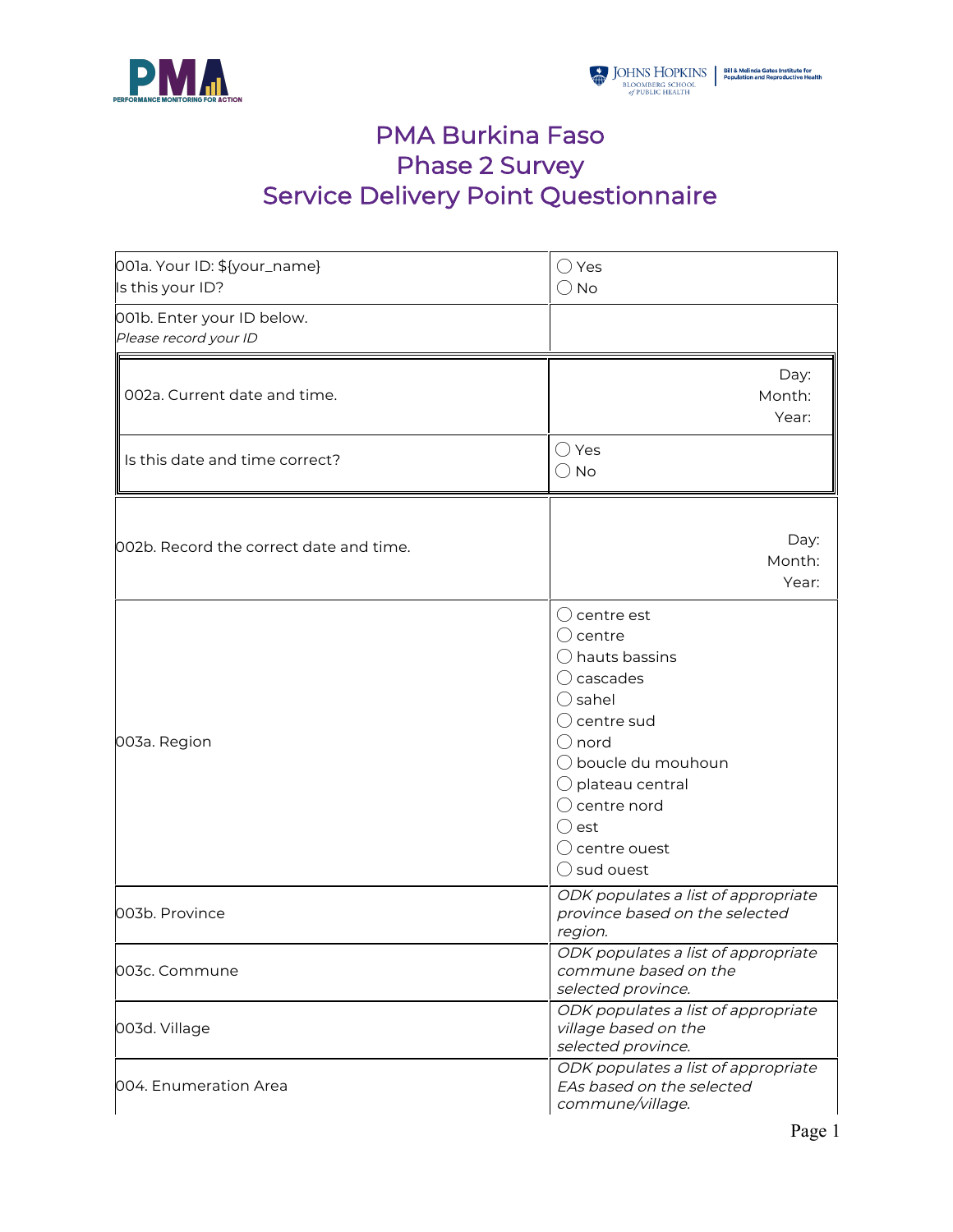

## PMA Burkina Faso Phase 2 Survey Service Delivery Point Questionnaire

| 001a. Your ID: \${your_name}<br>Is this your ID?    | $\bigcirc$ Yes<br>$\bigcirc$ No                                                                                                                                                                                                                                                                               |
|-----------------------------------------------------|---------------------------------------------------------------------------------------------------------------------------------------------------------------------------------------------------------------------------------------------------------------------------------------------------------------|
| 001b. Enter your ID below.<br>Please record your ID |                                                                                                                                                                                                                                                                                                               |
| 002a. Current date and time.                        | Day:<br>Month:<br>Year:                                                                                                                                                                                                                                                                                       |
| Is this date and time correct?                      | $\bigcirc$ Yes<br>$\bigcirc$ No                                                                                                                                                                                                                                                                               |
| 002b. Record the correct date and time.             | Day:<br>Month:<br>Year:                                                                                                                                                                                                                                                                                       |
| 003a. Region                                        | $\bigcirc$ centre est<br>( ) centre<br>$\bigcirc$ hauts bassins<br>$\bigcirc$ cascades<br>$\bigcirc$ sahel<br>$\bigcirc$ centre sud<br>$()$ nord<br>$\bigcirc$ boucle du mouhoun<br>$\bigcirc$ plateau central<br>$\bigcirc$ centre nord<br>$\bigcirc$ est<br>$\bigcirc$ centre ouest<br>$\bigcirc$ sud ouest |
| 003b. Province                                      | ODK populates a list of appropriate<br>province based on the selected<br>region.                                                                                                                                                                                                                              |
| 003c. Commune                                       | ODK populates a list of appropriate<br>commune based on the<br>selected province.                                                                                                                                                                                                                             |
| 003d. Village                                       | ODK populates a list of appropriate<br>village based on the<br>selected province.                                                                                                                                                                                                                             |
| 004. Enumeration Area                               | ODK populates a list of appropriate<br>EAs based on the selected<br>commune/village.                                                                                                                                                                                                                          |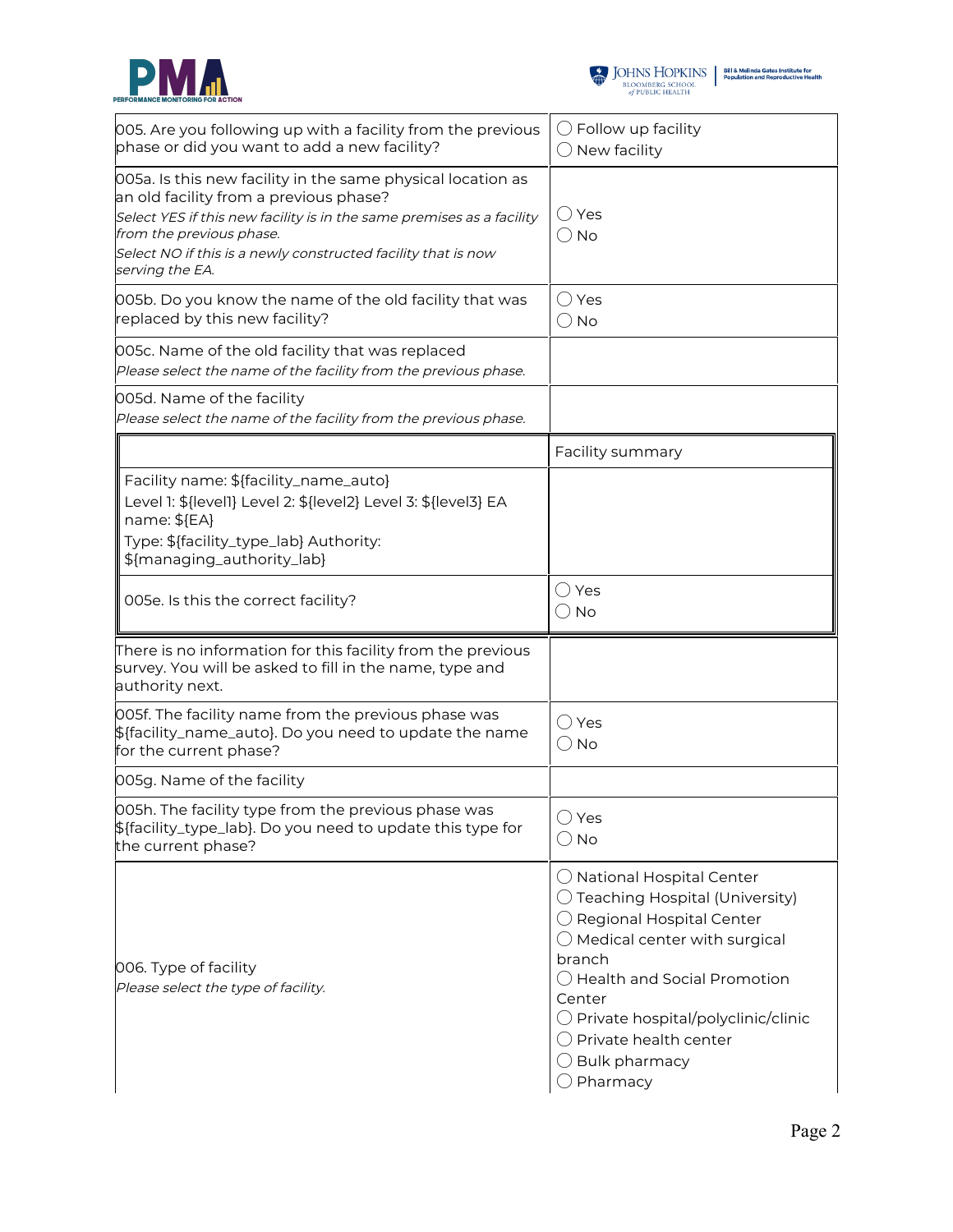



| 005. Are you following up with a facility from the previous<br>phase or did you want to add a new facility?                                                                                                                                                                                    | $\bigcirc$ Follow up facility<br>$\bigcirc$ New facility                                                                                                                                                                                                                                                                                               |
|------------------------------------------------------------------------------------------------------------------------------------------------------------------------------------------------------------------------------------------------------------------------------------------------|--------------------------------------------------------------------------------------------------------------------------------------------------------------------------------------------------------------------------------------------------------------------------------------------------------------------------------------------------------|
| 005a. Is this new facility in the same physical location as<br>an old facility from a previous phase?<br>Select YES if this new facility is in the same premises as a facility<br>from the previous phase.<br>Select NO if this is a newly constructed facility that is now<br>serving the EA. | $\bigcirc$ Yes<br>$\bigcirc$ No                                                                                                                                                                                                                                                                                                                        |
| 005b. Do you know the name of the old facility that was<br>replaced by this new facility?                                                                                                                                                                                                      | $\bigcirc$ Yes<br>$\bigcirc$ No                                                                                                                                                                                                                                                                                                                        |
| 005c. Name of the old facility that was replaced<br>Please select the name of the facility from the previous phase.                                                                                                                                                                            |                                                                                                                                                                                                                                                                                                                                                        |
| 005d. Name of the facility<br>Please select the name of the facility from the previous phase.                                                                                                                                                                                                  |                                                                                                                                                                                                                                                                                                                                                        |
|                                                                                                                                                                                                                                                                                                | Facility summary                                                                                                                                                                                                                                                                                                                                       |
| Facility name: \${facility_name_auto}<br>Level 1: \${level1} Level 2: \${level2} Level 3: \${level3} EA<br>name: \${EA}<br>Type: \${facility_type_lab} Authority:<br>\${managing_authority_lab}                                                                                                |                                                                                                                                                                                                                                                                                                                                                        |
| 005e. Is this the correct facility?                                                                                                                                                                                                                                                            | $\bigcirc$ Yes<br>$\bigcirc$ No                                                                                                                                                                                                                                                                                                                        |
| There is no information for this facility from the previous<br>survey. You will be asked to fill in the name, type and<br>authority next.                                                                                                                                                      |                                                                                                                                                                                                                                                                                                                                                        |
| 005f. The facility name from the previous phase was<br>\${facility_name_auto}. Do you need to update the name<br>for the current phase?                                                                                                                                                        | $\bigcap$ Yes<br>$\bigcirc$ No                                                                                                                                                                                                                                                                                                                         |
| 005g. Name of the facility                                                                                                                                                                                                                                                                     |                                                                                                                                                                                                                                                                                                                                                        |
| 005h. The facility type from the previous phase was<br>\${facility_type_lab}. Do you need to update this type for<br>the current phase?                                                                                                                                                        | $\bigcirc$ Yes<br>$\bigcirc$ No                                                                                                                                                                                                                                                                                                                        |
| 006. Type of facility<br>Please select the type of facility.                                                                                                                                                                                                                                   | $\bigcirc$ National Hospital Center<br>$\bigcirc$ Teaching Hospital (University)<br>O Regional Hospital Center<br>$\bigcirc$ Medical center with surgical<br>branch<br>◯ Health and Social Promotion<br>Center<br>$\bigcirc$ Private hospital/polyclinic/clinic<br>$\bigcirc$ Private health center<br>$\bigcirc$ Bulk pharmacy<br>$\bigcirc$ Pharmacy |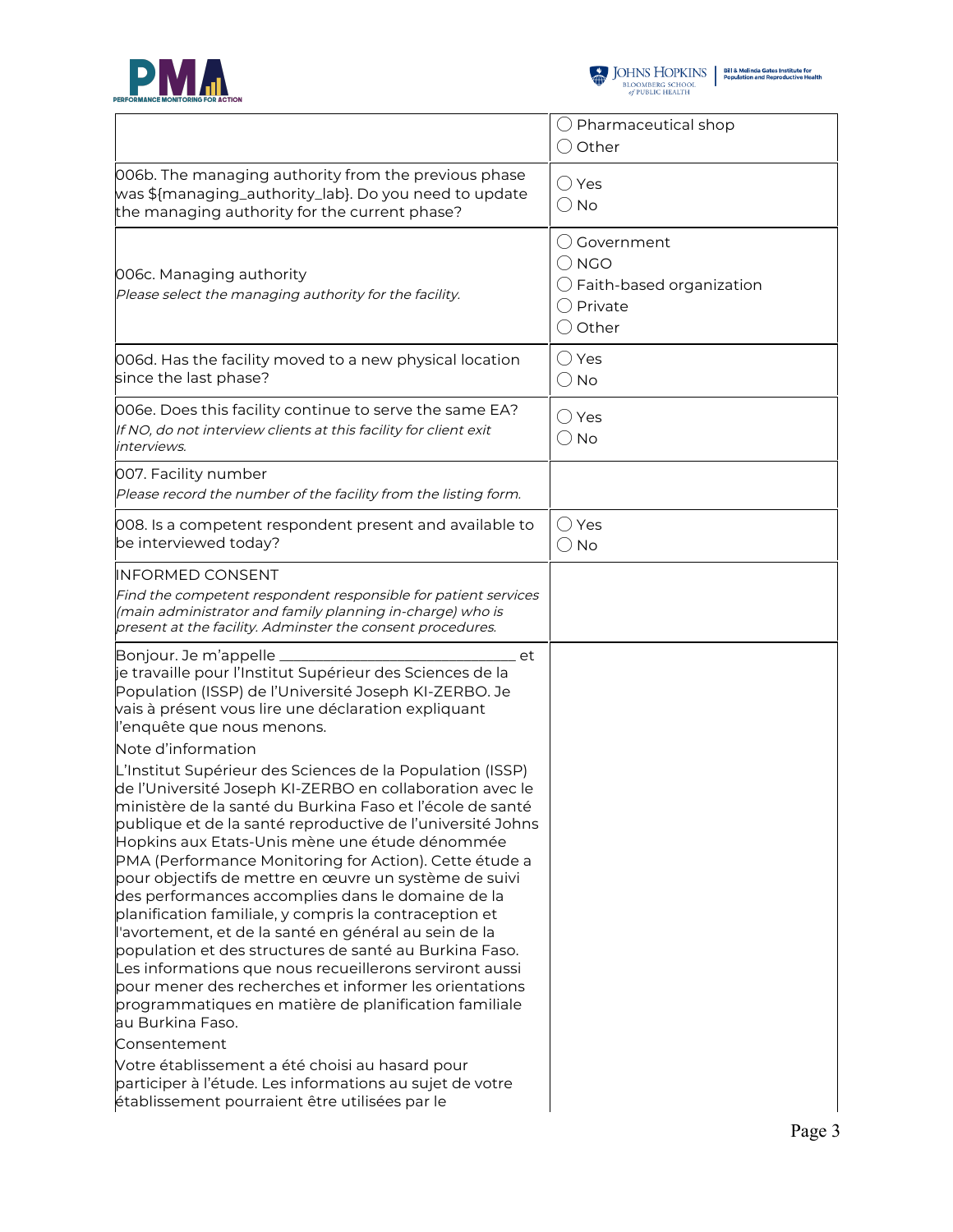



|                                                                                                                                                                                                                                                                                                                                                                                                                                                                                                                                                                                                                                                                                                                                                                                                                                                                                                                                                                                                                                                                                                                                                                                              | $\bigcirc$ Pharmaceutical shop<br>$\bigcirc$ Other                                                               |
|----------------------------------------------------------------------------------------------------------------------------------------------------------------------------------------------------------------------------------------------------------------------------------------------------------------------------------------------------------------------------------------------------------------------------------------------------------------------------------------------------------------------------------------------------------------------------------------------------------------------------------------------------------------------------------------------------------------------------------------------------------------------------------------------------------------------------------------------------------------------------------------------------------------------------------------------------------------------------------------------------------------------------------------------------------------------------------------------------------------------------------------------------------------------------------------------|------------------------------------------------------------------------------------------------------------------|
| 006b. The managing authority from the previous phase<br>was \${managing_authority_lab}. Do you need to update<br>the managing authority for the current phase?                                                                                                                                                                                                                                                                                                                                                                                                                                                                                                                                                                                                                                                                                                                                                                                                                                                                                                                                                                                                                               | $\bigcirc$ Yes<br>$\bigcirc$ No                                                                                  |
| 006c. Managing authority<br>Please select the managing authority for the facility.                                                                                                                                                                                                                                                                                                                                                                                                                                                                                                                                                                                                                                                                                                                                                                                                                                                                                                                                                                                                                                                                                                           | $\bigcirc$ Government<br>() NGO<br>$\bigcirc$ Faith-based organization<br>$\bigcirc$ Private<br>$\bigcirc$ Other |
| 006d. Has the facility moved to a new physical location<br>since the last phase?                                                                                                                                                                                                                                                                                                                                                                                                                                                                                                                                                                                                                                                                                                                                                                                                                                                                                                                                                                                                                                                                                                             | $\bigcirc$ Yes<br>$\bigcirc$ No                                                                                  |
| 006e. Does this facility continue to serve the same EA?<br>If NO, do not interview clients at this facility for client exit<br>interviews.                                                                                                                                                                                                                                                                                                                                                                                                                                                                                                                                                                                                                                                                                                                                                                                                                                                                                                                                                                                                                                                   | $\bigcirc$ Yes<br>$\bigcirc$ No                                                                                  |
| 007. Facility number<br>Please record the number of the facility from the listing form.                                                                                                                                                                                                                                                                                                                                                                                                                                                                                                                                                                                                                                                                                                                                                                                                                                                                                                                                                                                                                                                                                                      |                                                                                                                  |
| 008. Is a competent respondent present and available to<br>be interviewed today?                                                                                                                                                                                                                                                                                                                                                                                                                                                                                                                                                                                                                                                                                                                                                                                                                                                                                                                                                                                                                                                                                                             | $\bigcirc$ Yes<br>$\bigcirc$ No                                                                                  |
| INFORMED CONSENT<br>Find the competent respondent responsible for patient services<br>(main administrator and family planning in-charge) who is<br>present at the facility. Adminster the consent procedures.                                                                                                                                                                                                                                                                                                                                                                                                                                                                                                                                                                                                                                                                                                                                                                                                                                                                                                                                                                                |                                                                                                                  |
| Bonjour. Je m'appelle<br>et<br>je travaille pour l'Institut Supérieur des Sciences de la<br>Population (ISSP) de l'Université Joseph KI-ZERBO. Je<br>vais à présent vous lire une déclaration expliquant<br>l'enquête que nous menons.<br>Note d'information<br>L'Institut Supérieur des Sciences de la Population (ISSP)<br>de l'Université Joseph KI-ZERBO en collaboration avec le<br>ministère de la santé du Burkina Faso et l'école de santé<br>publique et de la santé reproductive de l'université Johns<br>Hopkins aux Etats-Unis mène une étude dénommée<br>PMA (Performance Monitoring for Action). Cette étude a<br>pour objectifs de mettre en œuvre un système de suivi<br>des performances accomplies dans le domaine de la<br>planification familiale, y compris la contraception et<br>l'avortement, et de la santé en général au sein de la<br>population et des structures de santé au Burkina Faso.<br>Les informations que nous recueillerons serviront aussi<br>pour mener des recherches et informer les orientations<br>programmatiques en matière de planification familiale<br>au Burkina Faso.<br>Consentement<br>Votre établissement a été choisi au hasard pour |                                                                                                                  |
| participer à l'étude. Les informations au sujet de votre<br>établissement pourraient être utilisées par le                                                                                                                                                                                                                                                                                                                                                                                                                                                                                                                                                                                                                                                                                                                                                                                                                                                                                                                                                                                                                                                                                   |                                                                                                                  |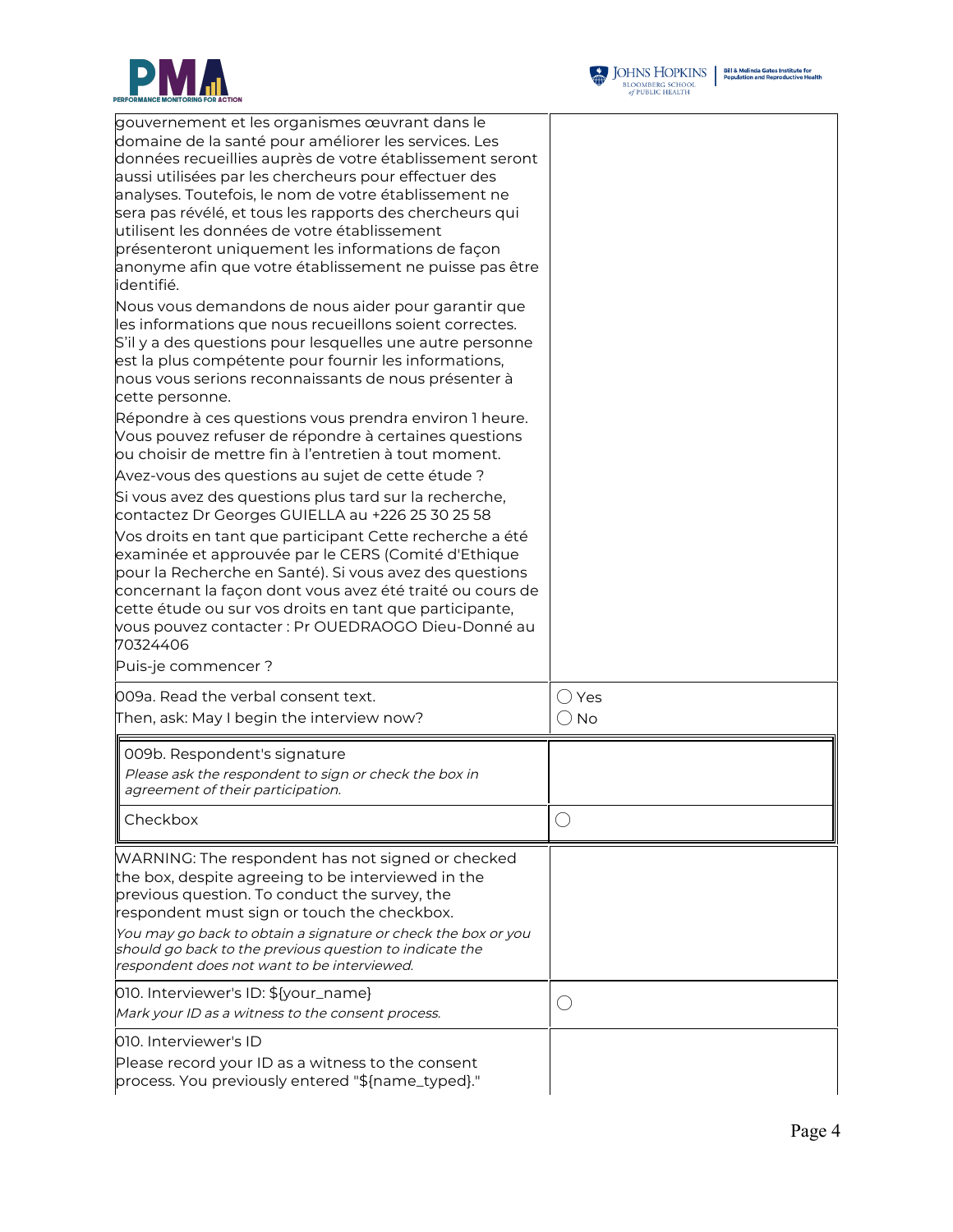

| gouvernement et les organismes œuvrant dans le<br>domaine de la santé pour améliorer les services. Les<br>données recueillies auprès de votre établissement seront<br>aussi utilisées par les chercheurs pour effectuer des<br>analyses. Toutefois, le nom de votre établissement ne<br>sera pas révélé, et tous les rapports des chercheurs qui<br>utilisent les données de votre établissement<br>présenteront uniquement les informations de façon<br>anonyme afin que votre établissement ne puisse pas être<br>identifié. |                                 |
|--------------------------------------------------------------------------------------------------------------------------------------------------------------------------------------------------------------------------------------------------------------------------------------------------------------------------------------------------------------------------------------------------------------------------------------------------------------------------------------------------------------------------------|---------------------------------|
| Nous vous demandons de nous aider pour garantir que<br>les informations que nous recueillons soient correctes.<br>S'il y a des questions pour lesquelles une autre personne<br>est la plus compétente pour fournir les informations,<br>nous vous serions reconnaissants de nous présenter à<br>cette personne.                                                                                                                                                                                                                |                                 |
| Répondre à ces questions vous prendra environ 1 heure.<br>Vous pouvez refuser de répondre à certaines questions<br>ou choisir de mettre fin à l'entretien à tout moment.<br>Avez-vous des questions au sujet de cette étude ?                                                                                                                                                                                                                                                                                                  |                                 |
| Si vous avez des questions plus tard sur la recherche,<br>contactez Dr Georges GUIELLA au +226 25 30 25 58                                                                                                                                                                                                                                                                                                                                                                                                                     |                                 |
| Vos droits en tant que participant Cette recherche a été<br>examinée et approuvée par le CERS (Comité d'Ethique<br>pour la Recherche en Santé). Si vous avez des questions<br>concernant la façon dont vous avez été traité ou cours de<br>cette étude ou sur vos droits en tant que participante,<br>vous pouvez contacter : Pr OUEDRAOGO Dieu-Donné au<br>70324406                                                                                                                                                           |                                 |
| Puis-je commencer ?                                                                                                                                                                                                                                                                                                                                                                                                                                                                                                            |                                 |
| 009a. Read the verbal consent text.<br>Then, ask: May I begin the interview now?                                                                                                                                                                                                                                                                                                                                                                                                                                               | $\bigcirc$ Yes<br>$\bigcirc$ No |
| 009b. Respondent's signature<br>Please ask the respondent to sign or check the box in<br>agreement of their participation.                                                                                                                                                                                                                                                                                                                                                                                                     |                                 |
| Checkbox                                                                                                                                                                                                                                                                                                                                                                                                                                                                                                                       |                                 |
| WARNING: The respondent has not signed or checked<br>the box, despite agreeing to be interviewed in the<br>previous question. To conduct the survey, the<br>respondent must sign or touch the checkbox.<br>You may go back to obtain a signature or check the box or you<br>should go back to the previous question to indicate the<br>respondent does not want to be interviewed.                                                                                                                                             |                                 |
| 010. Interviewer's ID: \${your_name}<br>Mark your ID as a witness to the consent process.                                                                                                                                                                                                                                                                                                                                                                                                                                      | $\left(\cdot\right)$            |
| 010. Interviewer's ID<br>Please record your ID as a witness to the consent<br>process. You previously entered "\${name_typed}."                                                                                                                                                                                                                                                                                                                                                                                                |                                 |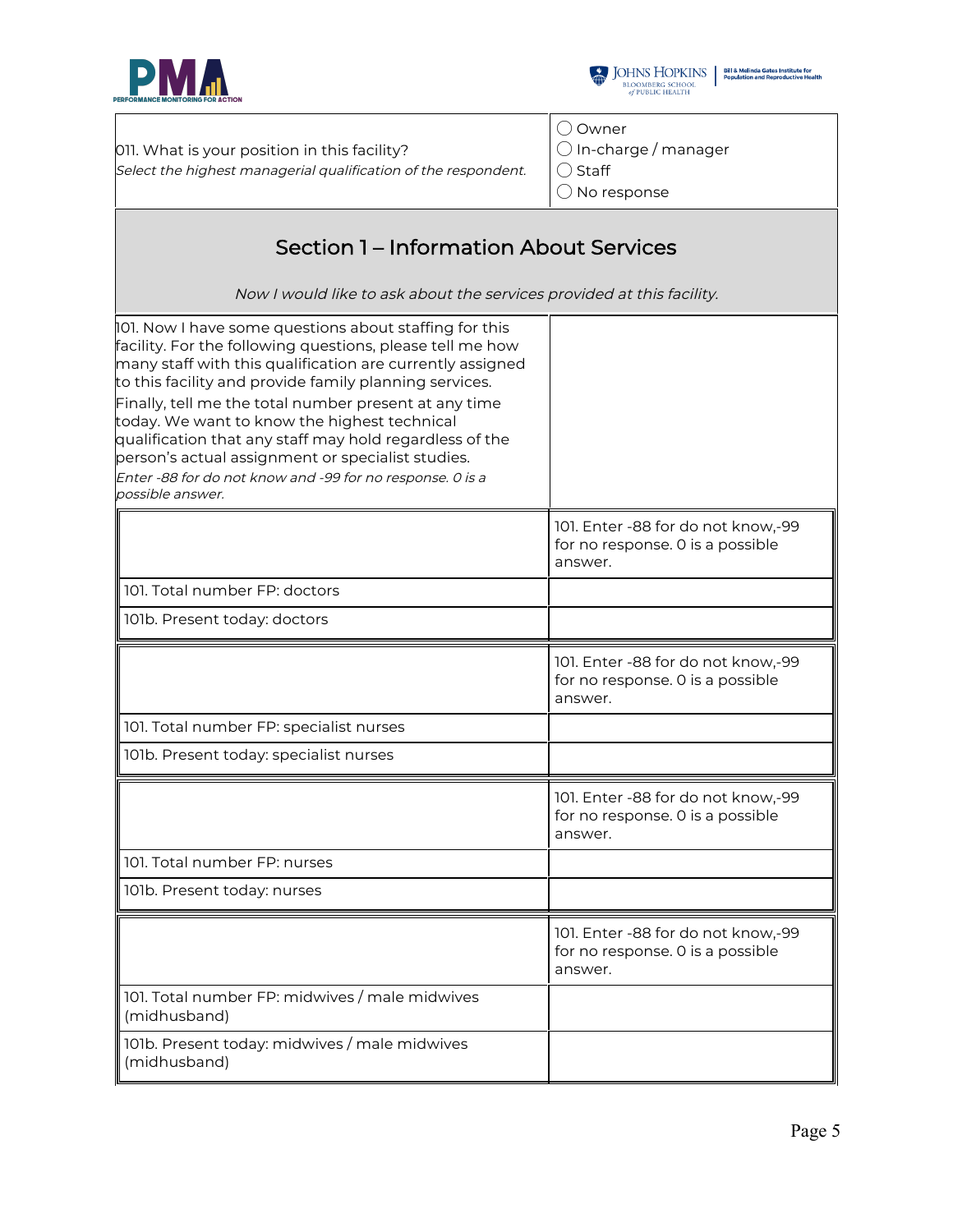



011. What is your position in this facility? Select the highest managerial qualification of the respondent. ◯ Owner ◯ In-charge / manager

| Select the highest managerial qualification of the respondent.                                                                                                                                                                                                                                                                                                                                                                                                                                                                                       | ( ) Staff<br>$\bigcirc$ No response                                               |
|------------------------------------------------------------------------------------------------------------------------------------------------------------------------------------------------------------------------------------------------------------------------------------------------------------------------------------------------------------------------------------------------------------------------------------------------------------------------------------------------------------------------------------------------------|-----------------------------------------------------------------------------------|
| <b>Section 1 – Information About Services</b><br>Now I would like to ask about the services provided at this facility.                                                                                                                                                                                                                                                                                                                                                                                                                               |                                                                                   |
| 101. Now I have some questions about staffing for this<br>facility. For the following questions, please tell me how<br>many staff with this qualification are currently assigned<br>to this facility and provide family planning services.<br>Finally, tell me the total number present at any time<br>today. We want to know the highest technical<br>qualification that any staff may hold regardless of the<br>person's actual assignment or specialist studies.<br>Enter -88 for do not know and -99 for no response. 0 is a<br>possible answer. |                                                                                   |
|                                                                                                                                                                                                                                                                                                                                                                                                                                                                                                                                                      | 101. Enter -88 for do not know,-99<br>for no response. O is a possible<br>answer. |
| 101. Total number FP: doctors                                                                                                                                                                                                                                                                                                                                                                                                                                                                                                                        |                                                                                   |
| 101b. Present today: doctors                                                                                                                                                                                                                                                                                                                                                                                                                                                                                                                         |                                                                                   |
|                                                                                                                                                                                                                                                                                                                                                                                                                                                                                                                                                      | 101. Enter -88 for do not know,-99<br>for no response. O is a possible<br>answer. |
| 101. Total number FP: specialist nurses                                                                                                                                                                                                                                                                                                                                                                                                                                                                                                              |                                                                                   |
| 101b. Present today: specialist nurses                                                                                                                                                                                                                                                                                                                                                                                                                                                                                                               |                                                                                   |
|                                                                                                                                                                                                                                                                                                                                                                                                                                                                                                                                                      | 101. Enter -88 for do not know,-99<br>for no response. 0 is a possible<br>answer. |
| 101. Total number FP: nurses                                                                                                                                                                                                                                                                                                                                                                                                                                                                                                                         |                                                                                   |
| 101b. Present today: nurses                                                                                                                                                                                                                                                                                                                                                                                                                                                                                                                          |                                                                                   |
|                                                                                                                                                                                                                                                                                                                                                                                                                                                                                                                                                      | 101. Enter -88 for do not know,-99<br>for no response. O is a possible<br>answer. |
| 101. Total number FP: midwives / male midwives<br>(midhusband)                                                                                                                                                                                                                                                                                                                                                                                                                                                                                       |                                                                                   |
| 101b. Present today: midwives / male midwives<br>(midhusband)                                                                                                                                                                                                                                                                                                                                                                                                                                                                                        |                                                                                   |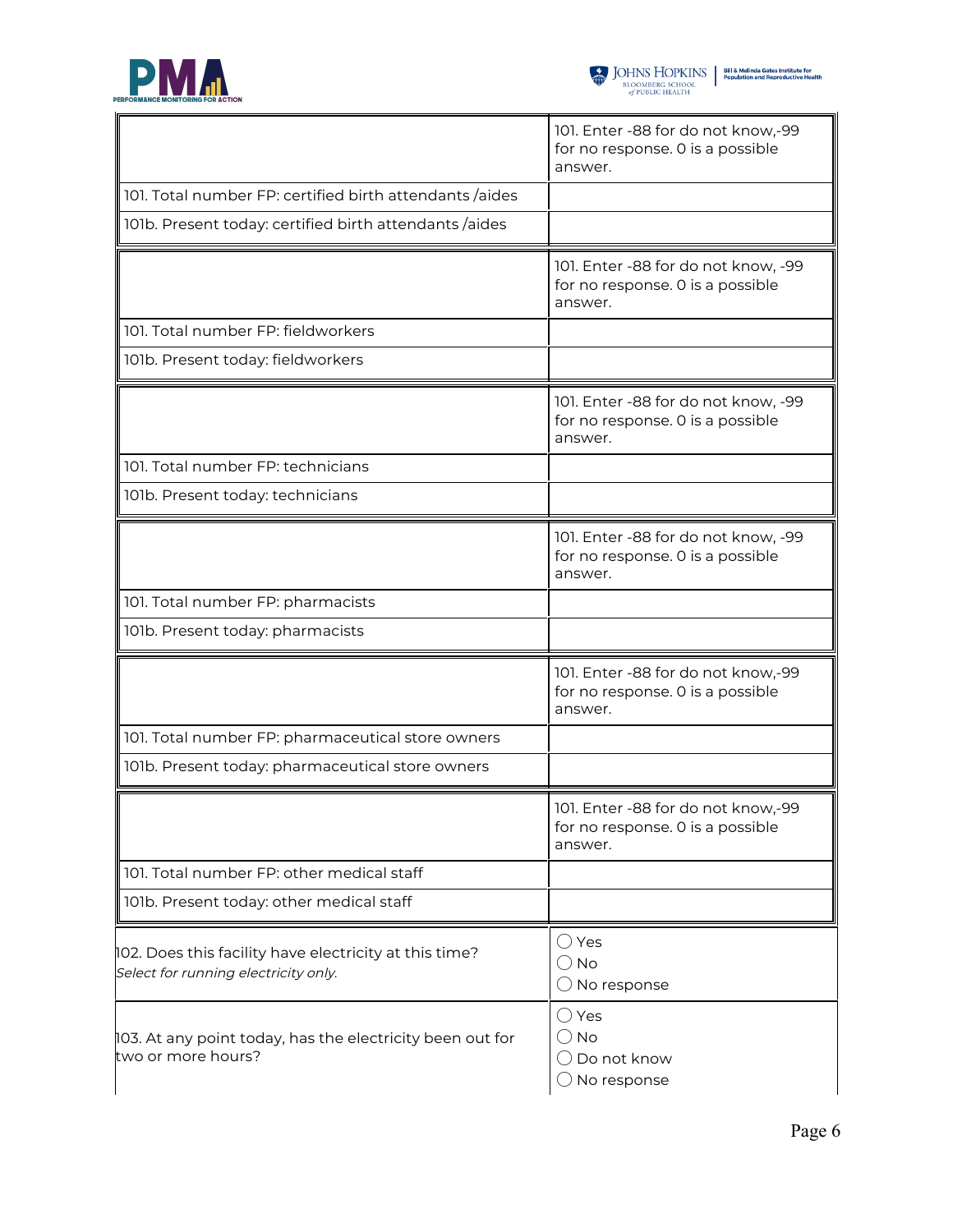



|                                                                                                | 101. Enter -88 for do not know,-99<br>for no response. 0 is a possible<br>answer.  |
|------------------------------------------------------------------------------------------------|------------------------------------------------------------------------------------|
| 101. Total number FP: certified birth attendants /aides                                        |                                                                                    |
| 101b. Present today: certified birth attendants /aides                                         |                                                                                    |
|                                                                                                | 101. Enter -88 for do not know, -99<br>for no response. 0 is a possible<br>answer. |
| 101. Total number FP: fieldworkers                                                             |                                                                                    |
| 101b. Present today: fieldworkers                                                              |                                                                                    |
|                                                                                                | 101. Enter -88 for do not know, -99<br>for no response. 0 is a possible<br>answer. |
| 101. Total number FP: technicians                                                              |                                                                                    |
| 101b. Present today: technicians                                                               |                                                                                    |
|                                                                                                | 101. Enter -88 for do not know, -99<br>for no response. 0 is a possible<br>answer. |
| 101. Total number FP: pharmacists                                                              |                                                                                    |
| 101b. Present today: pharmacists                                                               |                                                                                    |
|                                                                                                | 101. Enter -88 for do not know,-99<br>for no response. 0 is a possible<br>answer.  |
| 101. Total number FP: pharmaceutical store owners                                              |                                                                                    |
| 101b. Present today: pharmaceutical store owners                                               |                                                                                    |
|                                                                                                | 101. Enter -88 for do not know,-99<br>for no response. 0 is a possible<br>answer.  |
| 101. Total number FP: other medical staff                                                      |                                                                                    |
| 101b. Present today: other medical staff                                                       |                                                                                    |
| 102. Does this facility have electricity at this time?<br>Select for running electricity only. | $\bigcirc$ Yes<br>$\bigcirc$ No<br>$\bigcirc$ No response                          |
| 103. At any point today, has the electricity been out for<br>two or more hours?                | $\bigcirc$ Yes<br>$()$ No<br>$\bigcirc$ Do not know<br>No response                 |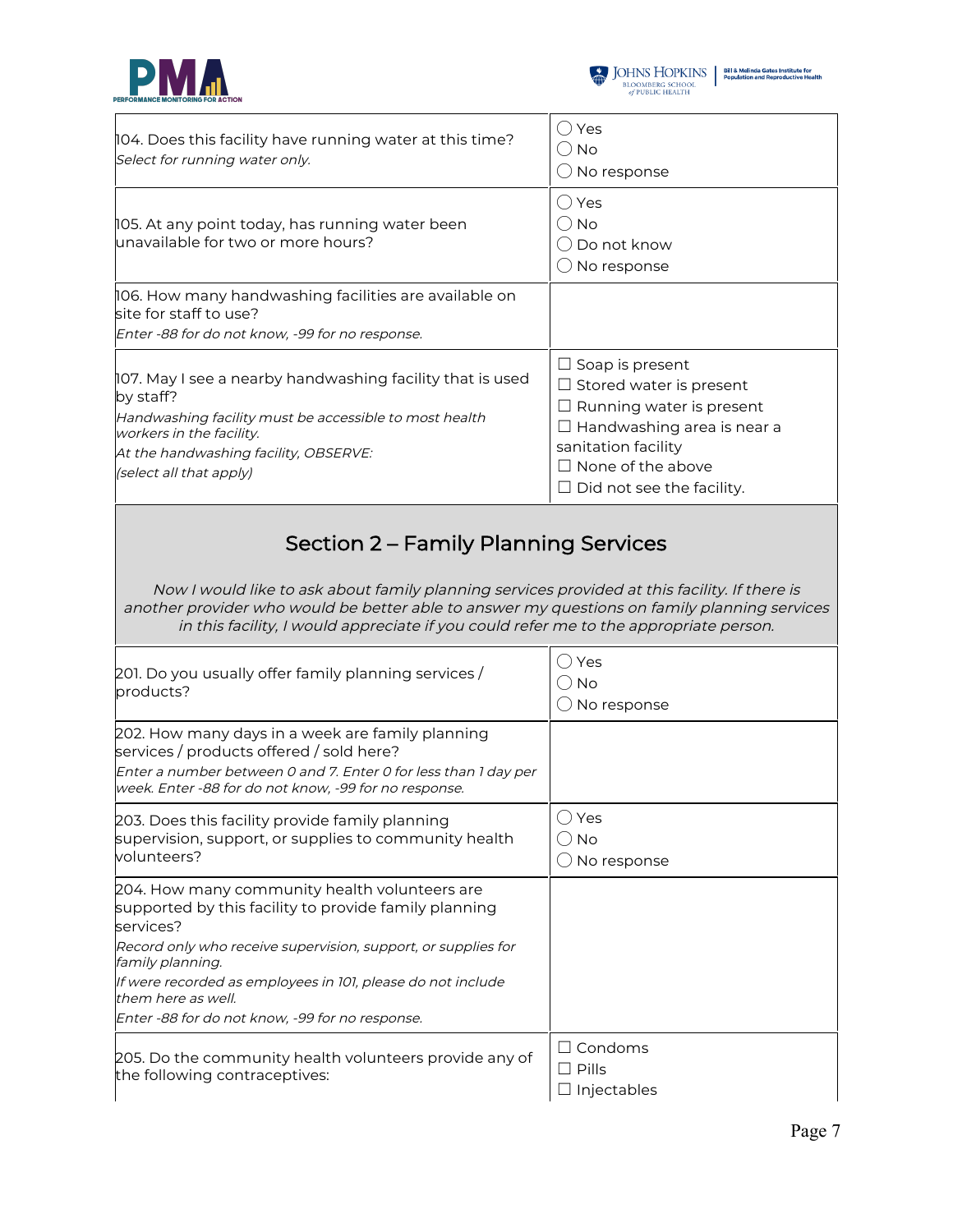



| 104. Does this facility have running water at this time?<br>Select for running water only.                                                                                                                                       | Yes<br>∪ No<br>No response                                                                                                                                                                                              |  |
|----------------------------------------------------------------------------------------------------------------------------------------------------------------------------------------------------------------------------------|-------------------------------------------------------------------------------------------------------------------------------------------------------------------------------------------------------------------------|--|
| 105. At any point today, has running water been<br>unavailable for two or more hours?                                                                                                                                            | Yes<br>( ) No<br>Do not know<br>No response                                                                                                                                                                             |  |
| 106. How many handwashing facilities are available on<br>site for staff to use?<br>Enter -88 for do not know, -99 for no response.                                                                                               |                                                                                                                                                                                                                         |  |
| 107. May I see a nearby handwashing facility that is used<br>by staff?<br>Handwashing facility must be accessible to most health<br>workers in the facility.<br>At the handwashing facility, OBSERVE:<br>(select all that apply) | $\Box$ Soap is present<br>$\Box$ Stored water is present<br>$\Box$ Running water is present<br>$\Box$ Handwashing area is near a<br>sanitation facility<br>$\Box$ None of the above<br>$\Box$ Did not see the facility. |  |
| Section 2 - Family Planning Services<br>Now I would like to ask about family planning services provided at this facility. If there is                                                                                            |                                                                                                                                                                                                                         |  |

another provider who would be better able to answer my questions on family planning services in this facility, I would appreciate if you could refer me to the appropriate person.

| 201. Do you usually offer family planning services /<br>products?                                                                                                                                                        | Yes<br><b>No</b><br>No response                  |
|--------------------------------------------------------------------------------------------------------------------------------------------------------------------------------------------------------------------------|--------------------------------------------------|
| 202. How many days in a week are family planning<br>services / products offered / sold here?<br>Enter a number between 0 and 7. Enter 0 for less than 1 day per<br>week. Enter -88 for do not know, -99 for no response. |                                                  |
| 203. Does this facility provide family planning<br>supervision, support, or supplies to community health<br>volunteers?                                                                                                  | Yes<br><b>No</b><br>No response                  |
| 204. How many community health volunteers are<br>supported by this facility to provide family planning<br>services?                                                                                                      |                                                  |
| Record only who receive supervision, support, or supplies for<br>family planning.                                                                                                                                        |                                                  |
| If were recorded as employees in 101, please do not include<br>them here as well.                                                                                                                                        |                                                  |
| Enter -88 for do not know, -99 for no response.                                                                                                                                                                          |                                                  |
| 205. Do the community health volunteers provide any of<br>the following contraceptives:                                                                                                                                  | $\square$ Condoms<br>$\Box$ Pills<br>Injectables |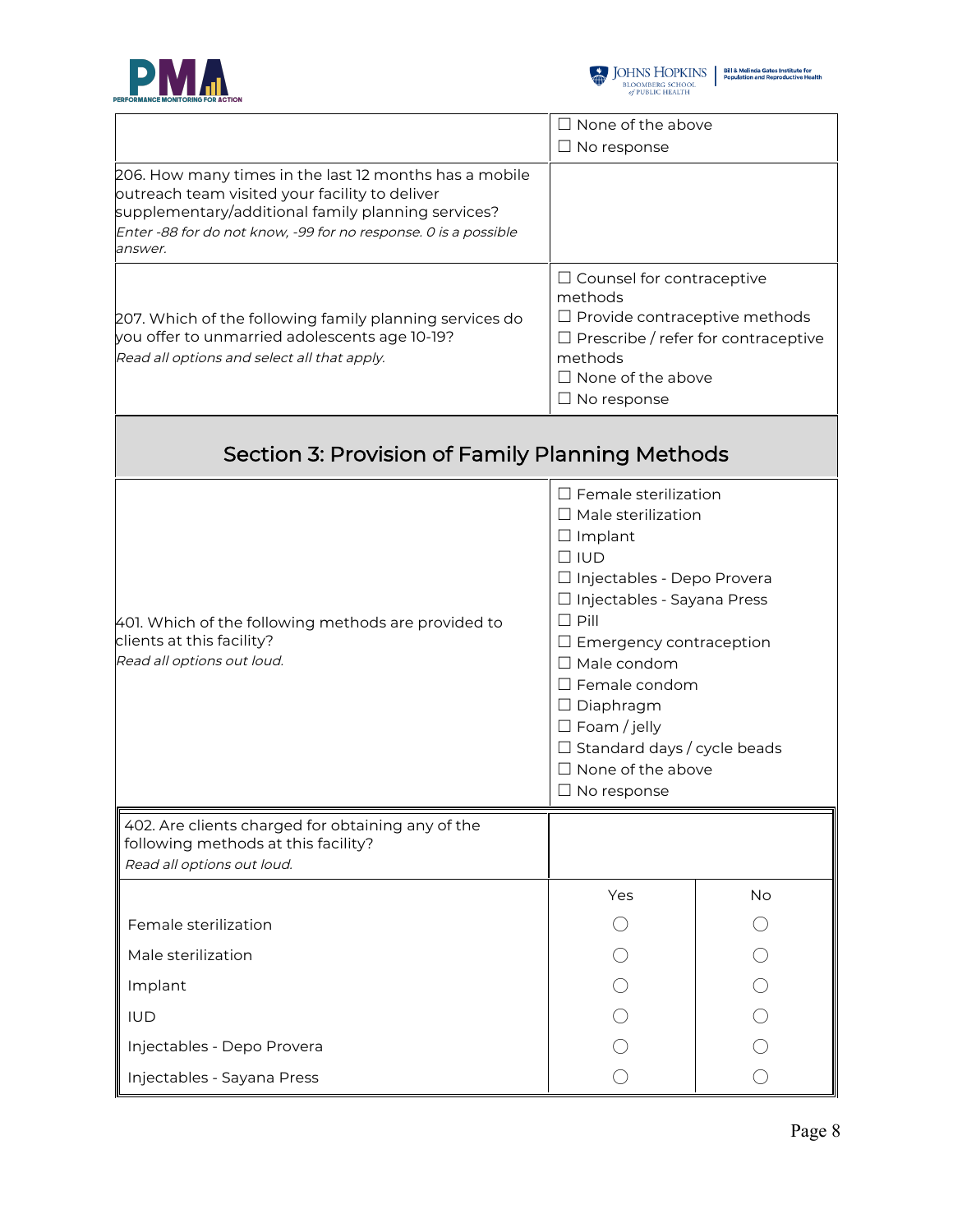



|                                                                                                                                                                                                                                              | $\Box$ None of the above                                                                                                                                                                                                                                                                                                                                                                   |           |
|----------------------------------------------------------------------------------------------------------------------------------------------------------------------------------------------------------------------------------------------|--------------------------------------------------------------------------------------------------------------------------------------------------------------------------------------------------------------------------------------------------------------------------------------------------------------------------------------------------------------------------------------------|-----------|
|                                                                                                                                                                                                                                              | $\Box$ No response                                                                                                                                                                                                                                                                                                                                                                         |           |
| 206. How many times in the last 12 months has a mobile<br>outreach team visited your facility to deliver<br>supplementary/additional family planning services?<br>Enter -88 for do not know, -99 for no response. 0 is a possible<br>answer. |                                                                                                                                                                                                                                                                                                                                                                                            |           |
| 207. Which of the following family planning services do<br>you offer to unmarried adolescents age 10-19?<br>Read all options and select all that apply.                                                                                      | $\Box$ Counsel for contraceptive<br>methods<br>$\Box$ Provide contraceptive methods<br>$\Box$ Prescribe / refer for contraceptive<br>methods<br>$\Box$ None of the above<br>$\Box$ No response                                                                                                                                                                                             |           |
| Section 3: Provision of Family Planning Methods                                                                                                                                                                                              |                                                                                                                                                                                                                                                                                                                                                                                            |           |
| 401. Which of the following methods are provided to<br>clients at this facility?<br>Read all options out loud.                                                                                                                               | $\Box$ Female sterilization<br>$\Box$ Male sterilization<br>$\Box$ Implant<br>$\Box$ IUD<br>□ Injectables - Depo Provera<br>□ Injectables - Sayana Press<br>$\Box$ Pill<br>$\Box$ Emergency contraception<br>$\Box$ Male condom<br>$\Box$ Female condom<br>$\Box$ Diaphragm<br>$\Box$ Foam / jelly<br>$\Box$ Standard days / cycle beads<br>$\Box$ None of the above<br>$\Box$ No response |           |
| 402. Are clients charged for obtaining any of the<br>following methods at this facility?<br>Read all options out loud.                                                                                                                       |                                                                                                                                                                                                                                                                                                                                                                                            |           |
|                                                                                                                                                                                                                                              | Yes                                                                                                                                                                                                                                                                                                                                                                                        | <b>No</b> |
| Female sterilization                                                                                                                                                                                                                         |                                                                                                                                                                                                                                                                                                                                                                                            |           |
| Male sterilization                                                                                                                                                                                                                           |                                                                                                                                                                                                                                                                                                                                                                                            |           |
| Implant                                                                                                                                                                                                                                      |                                                                                                                                                                                                                                                                                                                                                                                            |           |
| <b>IUD</b>                                                                                                                                                                                                                                   |                                                                                                                                                                                                                                                                                                                                                                                            |           |
| Injectables - Depo Provera                                                                                                                                                                                                                   |                                                                                                                                                                                                                                                                                                                                                                                            |           |
| Injectables - Sayana Press                                                                                                                                                                                                                   |                                                                                                                                                                                                                                                                                                                                                                                            |           |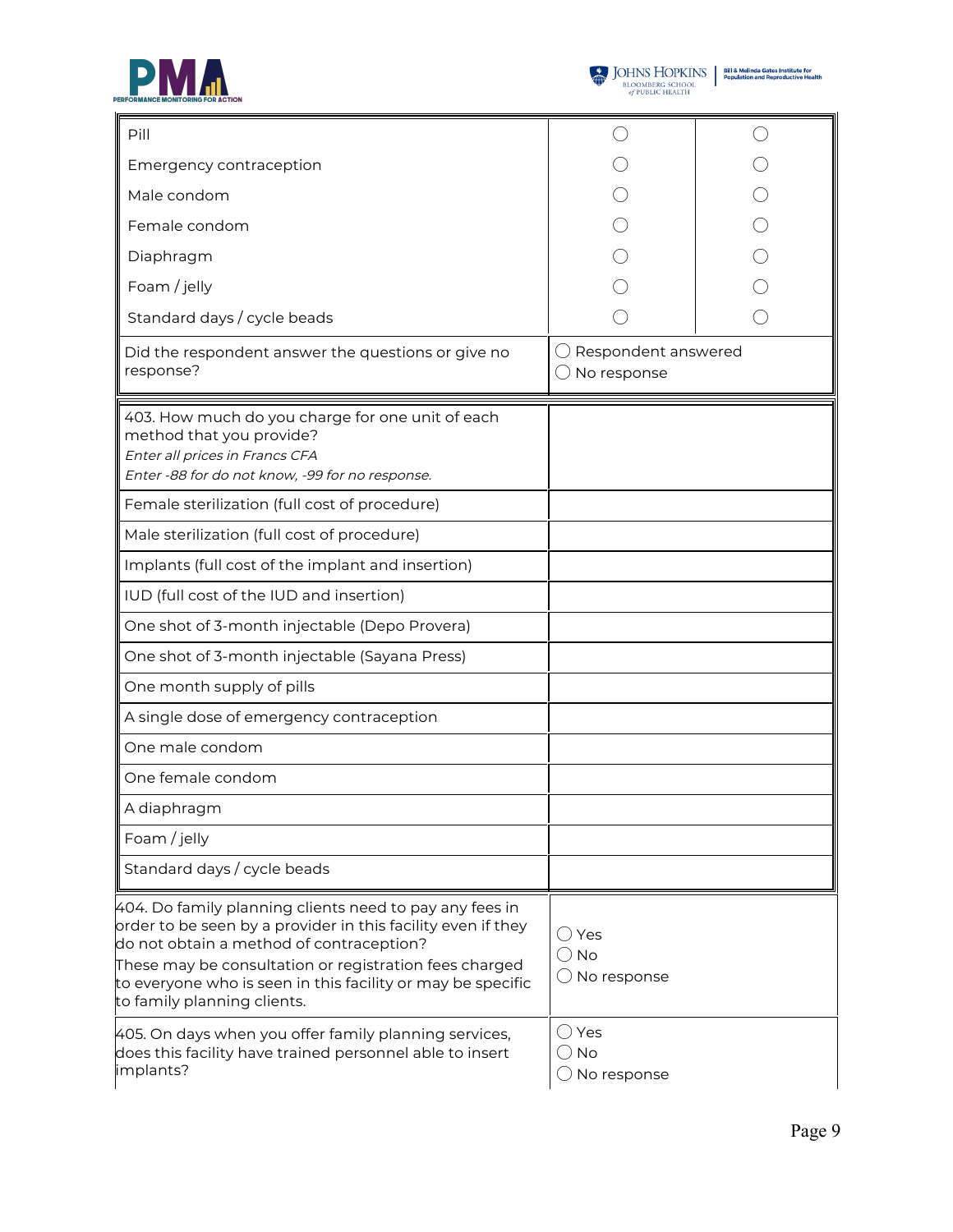



| Pill                                                                                                                                                                                                                                                                                                                        |                                                           |  |
|-----------------------------------------------------------------------------------------------------------------------------------------------------------------------------------------------------------------------------------------------------------------------------------------------------------------------------|-----------------------------------------------------------|--|
| Emergency contraception                                                                                                                                                                                                                                                                                                     |                                                           |  |
| Male condom                                                                                                                                                                                                                                                                                                                 |                                                           |  |
| Female condom                                                                                                                                                                                                                                                                                                               |                                                           |  |
| Diaphragm                                                                                                                                                                                                                                                                                                                   |                                                           |  |
| Foam / jelly                                                                                                                                                                                                                                                                                                                |                                                           |  |
| Standard days / cycle beads                                                                                                                                                                                                                                                                                                 |                                                           |  |
| Did the respondent answer the questions or give no<br>response?                                                                                                                                                                                                                                                             | Respondent answered<br>No response                        |  |
| 403. How much do you charge for one unit of each<br>method that you provide?<br>Enter all prices in Francs CFA<br>Enter -88 for do not know, -99 for no response.                                                                                                                                                           |                                                           |  |
| Female sterilization (full cost of procedure)                                                                                                                                                                                                                                                                               |                                                           |  |
| Male sterilization (full cost of procedure)                                                                                                                                                                                                                                                                                 |                                                           |  |
| Implants (full cost of the implant and insertion)                                                                                                                                                                                                                                                                           |                                                           |  |
| IUD (full cost of the IUD and insertion)                                                                                                                                                                                                                                                                                    |                                                           |  |
| One shot of 3-month injectable (Depo Provera)                                                                                                                                                                                                                                                                               |                                                           |  |
| One shot of 3-month injectable (Sayana Press)                                                                                                                                                                                                                                                                               |                                                           |  |
| One month supply of pills                                                                                                                                                                                                                                                                                                   |                                                           |  |
| A single dose of emergency contraception                                                                                                                                                                                                                                                                                    |                                                           |  |
| One male condom                                                                                                                                                                                                                                                                                                             |                                                           |  |
| One female condom                                                                                                                                                                                                                                                                                                           |                                                           |  |
| A diaphragm                                                                                                                                                                                                                                                                                                                 |                                                           |  |
| Foam / jelly                                                                                                                                                                                                                                                                                                                |                                                           |  |
| Standard days / cycle beads                                                                                                                                                                                                                                                                                                 |                                                           |  |
| 404. Do family planning clients need to pay any fees in<br>order to be seen by a provider in this facility even if they<br>do not obtain a method of contraception?<br>These may be consultation or registration fees charged<br>to everyone who is seen in this facility or may be specific<br>to family planning clients. | ○ Yes<br>$\bigcirc$ No<br>$\bigcirc$ No response          |  |
| 405. On days when you offer family planning services,<br>does this facility have trained personnel able to insert<br>implants?                                                                                                                                                                                              | $\bigcirc$ Yes<br>$\bigcirc$ No<br>$\bigcirc$ No response |  |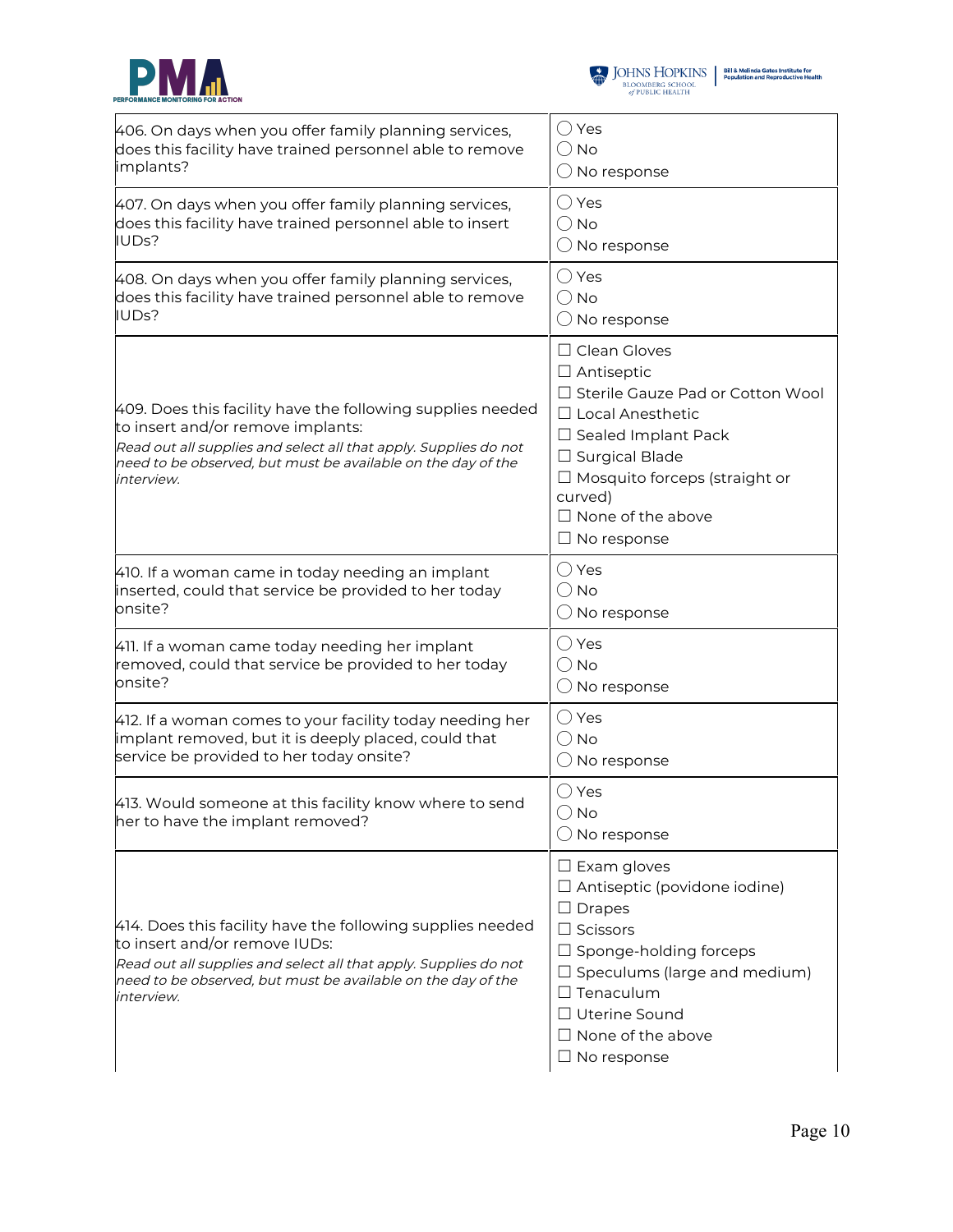



| 406. On days when you offer family planning services,                                                                                                                                                                                             | $\bigcirc$ Yes                                                                                                                                                                                                                                                    |
|---------------------------------------------------------------------------------------------------------------------------------------------------------------------------------------------------------------------------------------------------|-------------------------------------------------------------------------------------------------------------------------------------------------------------------------------------------------------------------------------------------------------------------|
| does this facility have trained personnel able to remove                                                                                                                                                                                          | () No                                                                                                                                                                                                                                                             |
| implants?                                                                                                                                                                                                                                         | $\bigcirc$ No response                                                                                                                                                                                                                                            |
| 407. On days when you offer family planning services,                                                                                                                                                                                             | ◯ Yes                                                                                                                                                                                                                                                             |
| does this facility have trained personnel able to insert                                                                                                                                                                                          | () No                                                                                                                                                                                                                                                             |
| IUDs?                                                                                                                                                                                                                                             | $\bigcirc$ No response                                                                                                                                                                                                                                            |
| 408. On days when you offer family planning services,                                                                                                                                                                                             | ◯ Yes                                                                                                                                                                                                                                                             |
| does this facility have trained personnel able to remove                                                                                                                                                                                          | () No                                                                                                                                                                                                                                                             |
| IUDs?                                                                                                                                                                                                                                             | $\bigcirc$ No response                                                                                                                                                                                                                                            |
| 409. Does this facility have the following supplies needed<br>to insert and/or remove implants:<br>Read out all supplies and select all that apply. Supplies do not<br>need to be observed, but must be available on the day of the<br>interview. | $\Box$ Clean Gloves<br>$\Box$ Antiseptic<br>□ Sterile Gauze Pad or Cotton Wool<br>□ Local Anesthetic<br>$\Box$ Sealed Implant Pack<br>$\Box$ Surgical Blade<br>$\Box$ Mosquito forceps (straight or<br>curved)<br>$\Box$ None of the above<br>$\Box$ No response  |
| 410. If a woman came in today needing an implant                                                                                                                                                                                                  | $\bigcirc$ Yes                                                                                                                                                                                                                                                    |
| inserted, could that service be provided to her today                                                                                                                                                                                             | $\bigcirc$ No                                                                                                                                                                                                                                                     |
| onsite?                                                                                                                                                                                                                                           | $\bigcirc$ No response                                                                                                                                                                                                                                            |
| 411. If a woman came today needing her implant                                                                                                                                                                                                    | $\bigcirc$ Yes                                                                                                                                                                                                                                                    |
| removed, could that service be provided to her today                                                                                                                                                                                              | $\bigcirc$ No                                                                                                                                                                                                                                                     |
| onsite?                                                                                                                                                                                                                                           | $\bigcirc$ No response                                                                                                                                                                                                                                            |
| 412. If a woman comes to your facility today needing her                                                                                                                                                                                          | $\bigcirc$ Yes                                                                                                                                                                                                                                                    |
| implant removed, but it is deeply placed, could that                                                                                                                                                                                              | $\bigcirc$ No                                                                                                                                                                                                                                                     |
| service be provided to her today onsite?                                                                                                                                                                                                          | $\bigcirc$ No response                                                                                                                                                                                                                                            |
| 413. Would someone at this facility know where to send<br>her to have the implant removed?                                                                                                                                                        | $\bigcirc$ Yes<br>$\bigcirc$ No<br>$\bigcirc$ No response                                                                                                                                                                                                         |
| 414. Does this facility have the following supplies needed<br>to insert and/or remove IUDs:<br>Read out all supplies and select all that apply. Supplies do not<br>need to be observed, but must be available on the day of the<br>interview.     | $\square$ Exam gloves<br>$\Box$ Antiseptic (povidone iodine)<br>$\Box$ Drapes<br>$\Box$ Scissors<br>$\Box$ Sponge-holding forceps<br>$\Box$ Speculums (large and medium)<br>$\Box$ Tenaculum<br>□ Uterine Sound<br>$\Box$ None of the above<br>$\Box$ No response |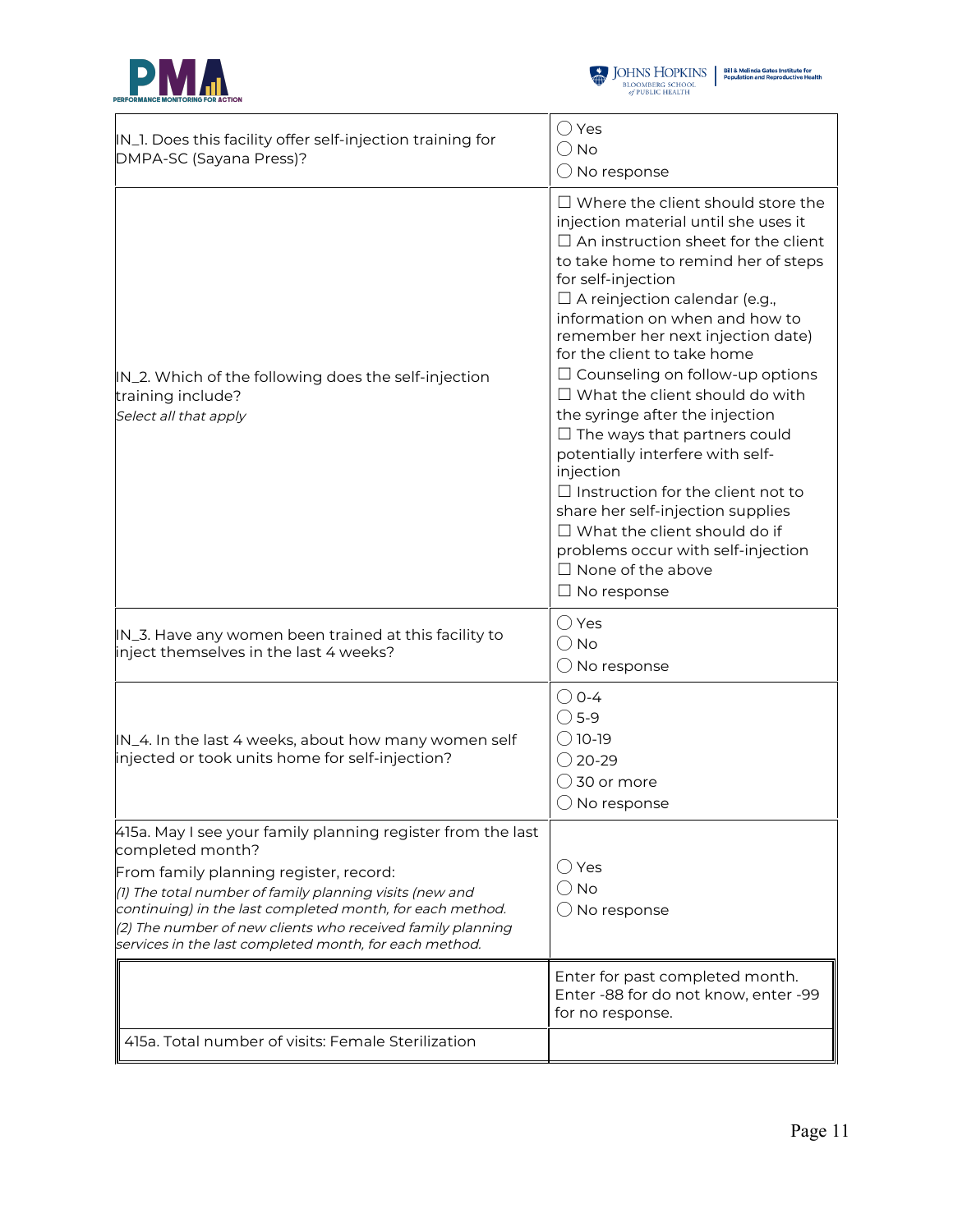



| IN_1. Does this facility offer self-injection training for<br>DMPA-SC (Sayana Press)?                                                                                                                                                                                                                                                                                     | $\bigcirc$ Yes<br>$\bigcirc$ No<br>$\bigcirc$ No response                                                                                                                                                                                                                                                                                                                                                                                                                                                                                                                                                                                                                                                                                                               |
|---------------------------------------------------------------------------------------------------------------------------------------------------------------------------------------------------------------------------------------------------------------------------------------------------------------------------------------------------------------------------|-------------------------------------------------------------------------------------------------------------------------------------------------------------------------------------------------------------------------------------------------------------------------------------------------------------------------------------------------------------------------------------------------------------------------------------------------------------------------------------------------------------------------------------------------------------------------------------------------------------------------------------------------------------------------------------------------------------------------------------------------------------------------|
| IN_2. Which of the following does the self-injection<br>training include?<br>Select all that apply                                                                                                                                                                                                                                                                        | $\Box$ Where the client should store the<br>injection material until she uses it<br>$\Box$ An instruction sheet for the client<br>to take home to remind her of steps<br>for self-injection<br>$\Box$ A reinjection calendar (e.g.,<br>information on when and how to<br>remember her next injection date)<br>for the client to take home<br>$\Box$ Counseling on follow-up options<br>$\Box$ What the client should do with<br>the syringe after the injection<br>$\Box$ The ways that partners could<br>potentially interfere with self-<br>injection<br>$\Box$ Instruction for the client not to<br>share her self-injection supplies<br>$\Box$ What the client should do if<br>problems occur with self-injection<br>$\Box$ None of the above<br>$\Box$ No response |
| IN_3. Have any women been trained at this facility to<br>inject themselves in the last 4 weeks?                                                                                                                                                                                                                                                                           | $\bigcirc$ Yes<br>$\bigcirc$ No<br>$\bigcirc$ No response                                                                                                                                                                                                                                                                                                                                                                                                                                                                                                                                                                                                                                                                                                               |
| IN_4. In the last 4 weeks, about how many women self<br>injected or took units home for self-injection?                                                                                                                                                                                                                                                                   | $\bigcirc$ 0-4<br>$\bigcirc$ 5-9<br>$\bigcirc$ 10-19<br>$\bigcirc$ 20-29<br>( ) 30 or more<br>$\bigcirc$ No response                                                                                                                                                                                                                                                                                                                                                                                                                                                                                                                                                                                                                                                    |
| 415a. May I see your family planning register from the last<br>completed month?<br>From family planning register, record:<br>(1) The total number of family planning visits (new and<br>continuing) in the last completed month, for each method.<br>(2) The number of new clients who received family planning<br>services in the last completed month, for each method. | $\bigcirc$ Yes<br>$\bigcirc$ No<br>$\bigcirc$ No response                                                                                                                                                                                                                                                                                                                                                                                                                                                                                                                                                                                                                                                                                                               |
|                                                                                                                                                                                                                                                                                                                                                                           | Enter for past completed month.<br>Enter -88 for do not know, enter -99<br>for no response.                                                                                                                                                                                                                                                                                                                                                                                                                                                                                                                                                                                                                                                                             |
| 415a. Total number of visits: Female Sterilization                                                                                                                                                                                                                                                                                                                        |                                                                                                                                                                                                                                                                                                                                                                                                                                                                                                                                                                                                                                                                                                                                                                         |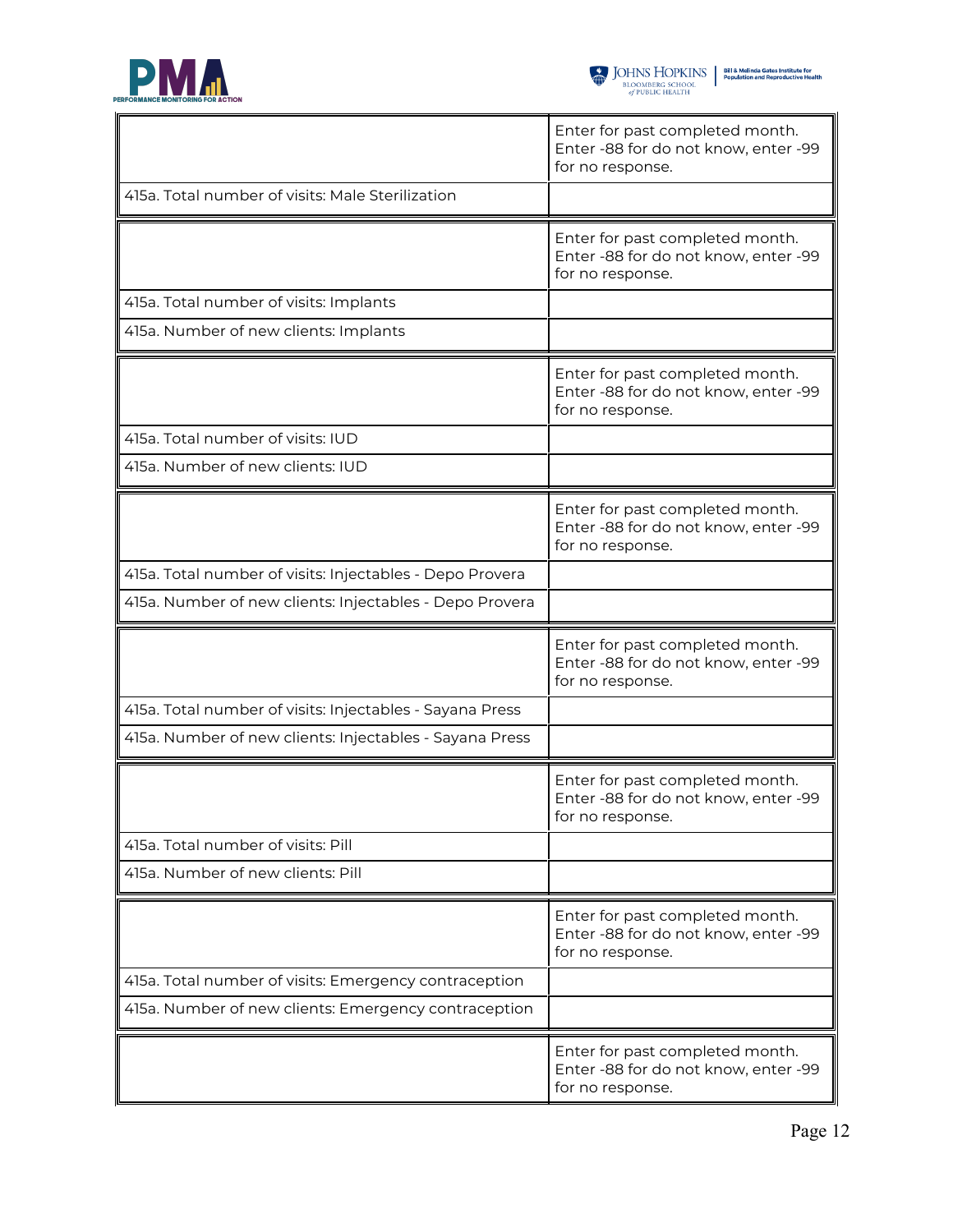

|                                                          | Enter for past completed month.<br>Enter -88 for do not know, enter -99<br>for no response. |
|----------------------------------------------------------|---------------------------------------------------------------------------------------------|
| 415a. Total number of visits: Male Sterilization         |                                                                                             |
|                                                          | Enter for past completed month.<br>Enter -88 for do not know, enter -99<br>for no response. |
| 415a. Total number of visits: Implants                   |                                                                                             |
| 415a. Number of new clients: Implants                    |                                                                                             |
|                                                          | Enter for past completed month.<br>Enter -88 for do not know, enter -99<br>for no response. |
| 415a. Total number of visits: IUD                        |                                                                                             |
| 415a. Number of new clients: IUD                         |                                                                                             |
|                                                          | Enter for past completed month.<br>Enter -88 for do not know, enter -99<br>for no response. |
| 415a. Total number of visits: Injectables - Depo Provera |                                                                                             |
| 415a. Number of new clients: Injectables - Depo Provera  |                                                                                             |
|                                                          | Enter for past completed month.<br>Enter -88 for do not know, enter -99<br>for no response. |
| 415a. Total number of visits: Injectables - Sayana Press |                                                                                             |
| 415a. Number of new clients: Injectables - Sayana Press  |                                                                                             |
|                                                          | Enter for past completed month.<br>Enter -88 for do not know, enter -99<br>for no response. |
| 415a. Total number of visits: Pill                       |                                                                                             |
| 415a. Number of new clients: Pill                        |                                                                                             |
|                                                          | Enter for past completed month.<br>Enter -88 for do not know, enter -99<br>for no response. |
| 415a. Total number of visits: Emergency contraception    |                                                                                             |
| 415a. Number of new clients: Emergency contraception     |                                                                                             |
|                                                          | Enter for past completed month.<br>Enter -88 for do not know, enter -99<br>for no response. |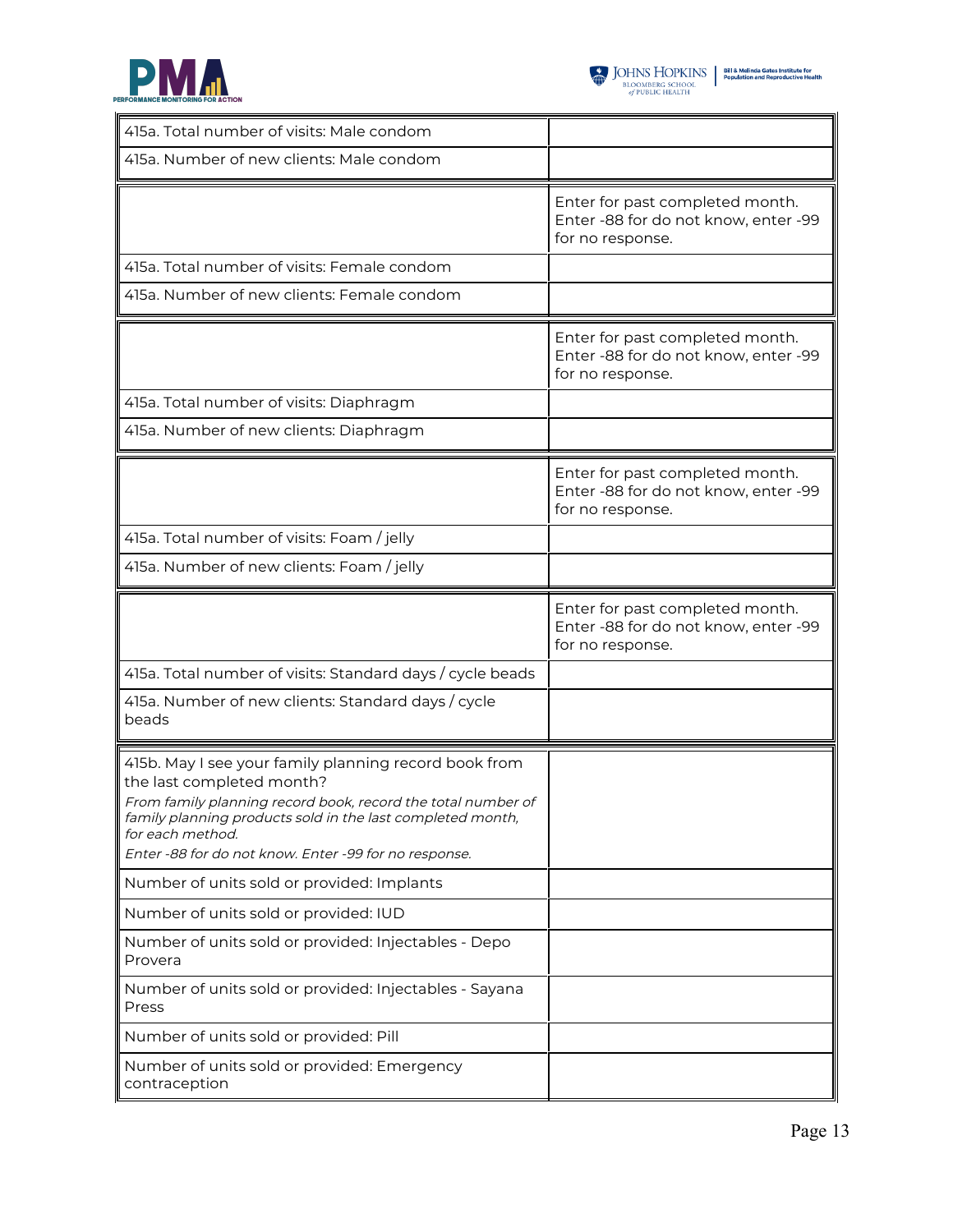



| 415a. Total number of visits: Male condom                                                                                                                                                                                                                                                     |                                                                                             |
|-----------------------------------------------------------------------------------------------------------------------------------------------------------------------------------------------------------------------------------------------------------------------------------------------|---------------------------------------------------------------------------------------------|
| 415a. Number of new clients: Male condom                                                                                                                                                                                                                                                      |                                                                                             |
|                                                                                                                                                                                                                                                                                               | Enter for past completed month.<br>Enter -88 for do not know, enter -99<br>for no response. |
| 415a. Total number of visits: Female condom                                                                                                                                                                                                                                                   |                                                                                             |
| 415a. Number of new clients: Female condom                                                                                                                                                                                                                                                    |                                                                                             |
|                                                                                                                                                                                                                                                                                               | Enter for past completed month.<br>Enter -88 for do not know, enter -99<br>for no response. |
| 415a. Total number of visits: Diaphragm                                                                                                                                                                                                                                                       |                                                                                             |
| 415a. Number of new clients: Diaphragm                                                                                                                                                                                                                                                        |                                                                                             |
|                                                                                                                                                                                                                                                                                               | Enter for past completed month.<br>Enter -88 for do not know, enter -99<br>for no response. |
| 415a. Total number of visits: Foam / jelly                                                                                                                                                                                                                                                    |                                                                                             |
| 415a. Number of new clients: Foam / jelly                                                                                                                                                                                                                                                     |                                                                                             |
|                                                                                                                                                                                                                                                                                               | Enter for past completed month.<br>Enter -88 for do not know, enter -99<br>for no response. |
| 415a. Total number of visits: Standard days / cycle beads                                                                                                                                                                                                                                     |                                                                                             |
| 415a. Number of new clients: Standard days / cycle<br>beads                                                                                                                                                                                                                                   |                                                                                             |
| 415b. May I see your family planning record book from<br>the last completed month?<br>From family planning record book, record the total number of<br>family planning products sold in the last completed month,<br>for each method.<br>Enter -88 for do not know. Enter -99 for no response. |                                                                                             |
| Number of units sold or provided: Implants                                                                                                                                                                                                                                                    |                                                                                             |
| Number of units sold or provided: IUD                                                                                                                                                                                                                                                         |                                                                                             |
| Number of units sold or provided: Injectables - Depo<br>Provera                                                                                                                                                                                                                               |                                                                                             |
| Number of units sold or provided: Injectables - Sayana<br>Press                                                                                                                                                                                                                               |                                                                                             |
| Number of units sold or provided: Pill                                                                                                                                                                                                                                                        |                                                                                             |
| Number of units sold or provided: Emergency<br>contraception                                                                                                                                                                                                                                  |                                                                                             |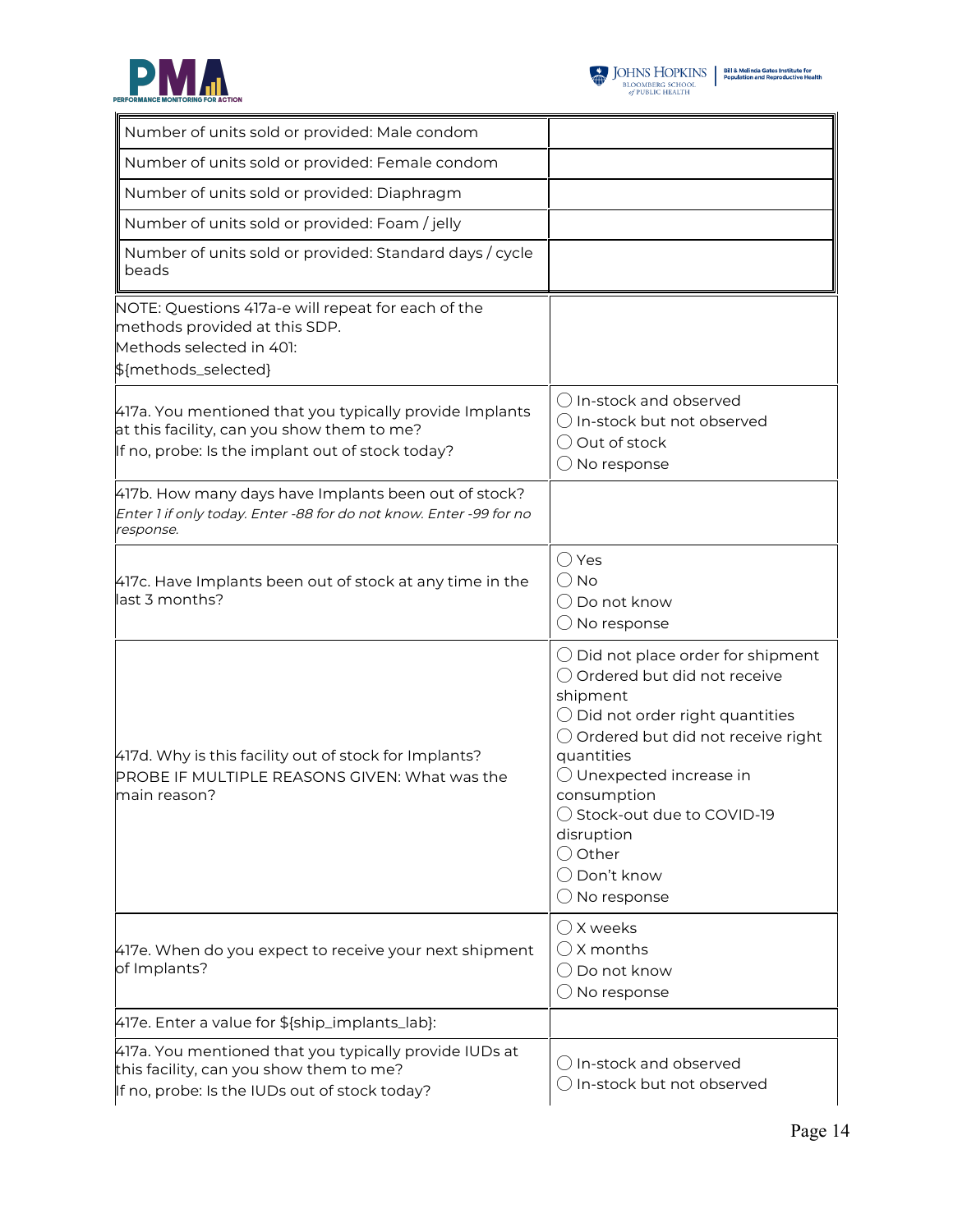



| Number of units sold or provided: Male condom                                                                                                             |                                                                                                                                                                                                                                                                                                                                                                    |
|-----------------------------------------------------------------------------------------------------------------------------------------------------------|--------------------------------------------------------------------------------------------------------------------------------------------------------------------------------------------------------------------------------------------------------------------------------------------------------------------------------------------------------------------|
| Number of units sold or provided: Female condom                                                                                                           |                                                                                                                                                                                                                                                                                                                                                                    |
| Number of units sold or provided: Diaphragm                                                                                                               |                                                                                                                                                                                                                                                                                                                                                                    |
| Number of units sold or provided: Foam / jelly                                                                                                            |                                                                                                                                                                                                                                                                                                                                                                    |
| Number of units sold or provided: Standard days / cycle<br>beads                                                                                          |                                                                                                                                                                                                                                                                                                                                                                    |
| NOTE: Questions 417a-e will repeat for each of the<br>methods provided at this SDP.<br>Methods selected in 401:<br>\${methods_selected}                   |                                                                                                                                                                                                                                                                                                                                                                    |
| 417a. You mentioned that you typically provide Implants<br>at this facility, can you show them to me?<br>If no, probe: Is the implant out of stock today? | $\bigcirc$ In-stock and observed<br>$\bigcirc$ In-stock but not observed<br>○ Out of stock<br>$\bigcirc$ No response                                                                                                                                                                                                                                               |
| 417b. How many days have Implants been out of stock?<br>Enter 1 if only today. Enter -88 for do not know. Enter -99 for no<br>response.                   |                                                                                                                                                                                                                                                                                                                                                                    |
| 417c. Have Implants been out of stock at any time in the<br>last 3 months?                                                                                | () Yes<br>$\bigcirc$ No<br>$\bigcirc$ Do not know<br>$\bigcirc$ No response                                                                                                                                                                                                                                                                                        |
| 417d. Why is this facility out of stock for Implants?<br>PROBE IF MULTIPLE REASONS GIVEN: What was the<br>main reason?                                    | $\bigcirc$ Did not place order for shipment<br>○ Ordered but did not receive<br>shipment<br>$\bigcirc$ Did not order right quantities<br>$\bigcirc$ Ordered but did not receive right<br>quantities<br>$\bigcirc$ Unexpected increase in<br>consumption<br>◯ Stock-out due to COVID-19<br>disruption<br>$\bigcirc$ Other<br>◯ Don't know<br>$\bigcirc$ No response |
| 417e. When do you expect to receive your next shipment<br>of Implants?                                                                                    | $\bigcirc$ X weeks<br>$\bigcirc$ X months<br>$\bigcirc$ Do not know<br>$\bigcirc$ No response                                                                                                                                                                                                                                                                      |
| 417e. Enter a value for \${ship_implants_lab}:                                                                                                            |                                                                                                                                                                                                                                                                                                                                                                    |
| 417a. You mentioned that you typically provide IUDs at<br>this facility, can you show them to me?<br>If no, probe: Is the IUDs out of stock today?        | $\bigcirc$ In-stock and observed<br>$\bigcirc$ In-stock but not observed                                                                                                                                                                                                                                                                                           |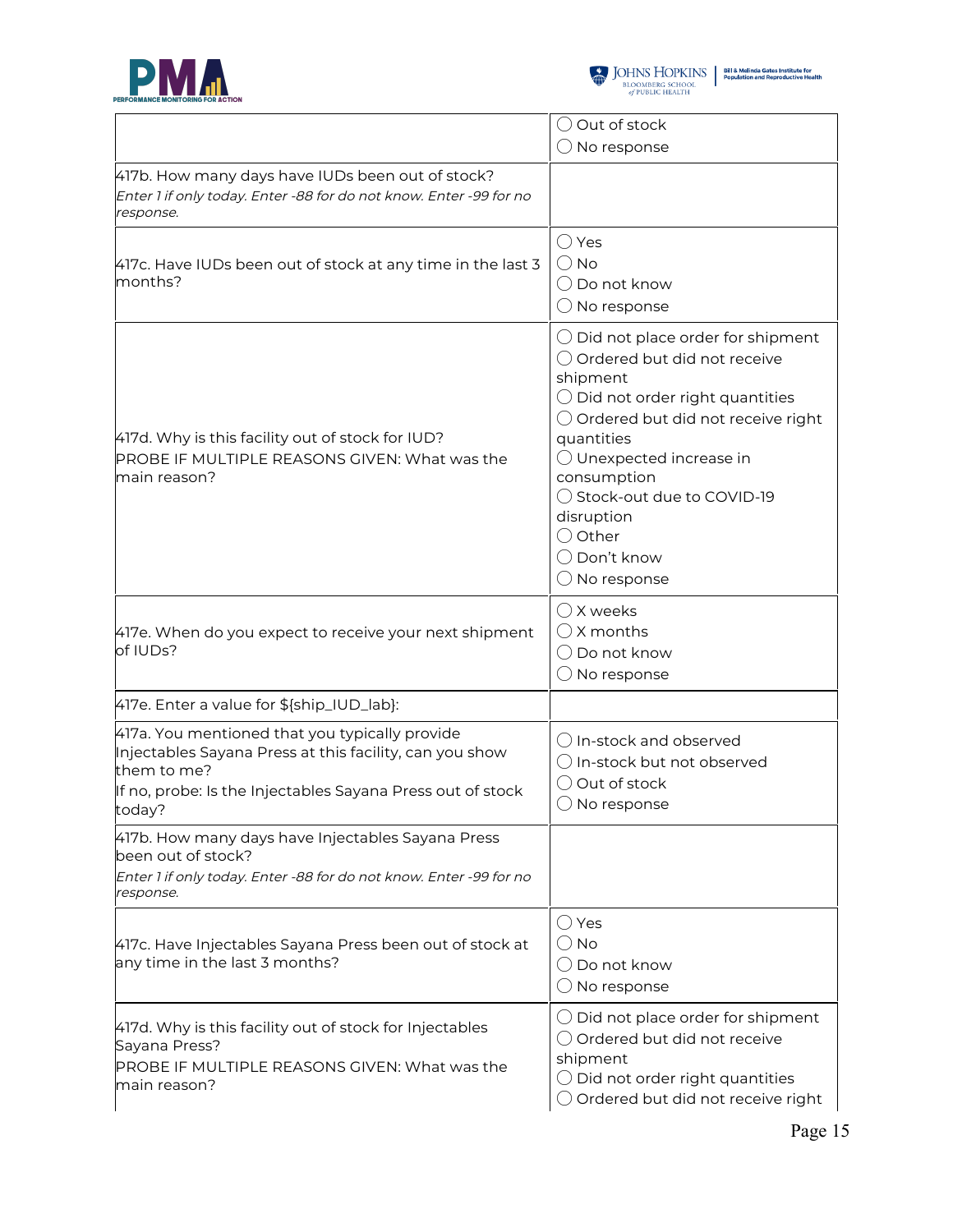



|                                                                                                                                                                                                  | $\bigcirc$ Out of stock                                                                                                                                                                                                                                                                                                                                   |
|--------------------------------------------------------------------------------------------------------------------------------------------------------------------------------------------------|-----------------------------------------------------------------------------------------------------------------------------------------------------------------------------------------------------------------------------------------------------------------------------------------------------------------------------------------------------------|
|                                                                                                                                                                                                  | $\bigcirc$ No response                                                                                                                                                                                                                                                                                                                                    |
| 417b. How many days have IUDs been out of stock?<br>Enter 1 if only today. Enter -88 for do not know. Enter -99 for no<br>response.                                                              |                                                                                                                                                                                                                                                                                                                                                           |
| 417c. Have IUDs been out of stock at any time in the last 3<br>months?                                                                                                                           | $\bigcirc$ Yes<br>$()$ No<br>$\bigcirc$ Do not know<br>$\bigcirc$ No response                                                                                                                                                                                                                                                                             |
| 417d. Why is this facility out of stock for IUD?<br><b>PROBE IF MULTIPLE REASONS GIVEN: What was the</b><br>main reason?                                                                         | $\bigcirc$ Did not place order for shipment<br>○ Ordered but did not receive<br>shipment<br>$\bigcirc$ Did not order right quantities<br>○ Ordered but did not receive right<br>quantities<br>◯ Unexpected increase in<br>consumption<br>◯ Stock-out due to COVID-19<br>disruption<br>$\bigcirc$ Other<br>$\bigcirc$ Don't know<br>$\bigcirc$ No response |
| 417e. When do you expect to receive your next shipment<br>of IUDs?                                                                                                                               | $\bigcirc$ X weeks<br>$\bigcirc$ X months<br>$\bigcirc$ Do not know<br>$\bigcirc$ No response                                                                                                                                                                                                                                                             |
| 417e. Enter a value for \${ship_IUD_lab}:                                                                                                                                                        |                                                                                                                                                                                                                                                                                                                                                           |
| 417a. You mentioned that you typically provide<br>Injectables Sayana Press at this facility, can you show<br>them to me?<br>If no, probe: Is the Injectables Sayana Press out of stock<br>today? | $\bigcirc$ In-stock and observed<br>$\bigcirc$ In-stock but not observed<br>◯ Out of stock<br>$\bigcirc$ No response                                                                                                                                                                                                                                      |
| 417b. How many days have Injectables Sayana Press<br>been out of stock?<br>Enter 1 if only today. Enter -88 for do not know. Enter -99 for no<br>response.                                       |                                                                                                                                                                                                                                                                                                                                                           |
| 417c. Have Injectables Sayana Press been out of stock at<br>any time in the last 3 months?                                                                                                       | $\bigcirc$ Yes<br>$\bigcirc$ No<br>$\bigcirc$ Do not know<br>$\bigcirc$ No response                                                                                                                                                                                                                                                                       |
| 417d. Why is this facility out of stock for Injectables<br>Sayana Press?<br>PROBE IF MULTIPLE REASONS GIVEN: What was the<br>main reason?                                                        | $\bigcirc$ Did not place order for shipment<br>○ Ordered but did not receive<br>shipment<br>$\bigcirc$ Did not order right quantities<br>$\bigcirc$ Ordered but did not receive right                                                                                                                                                                     |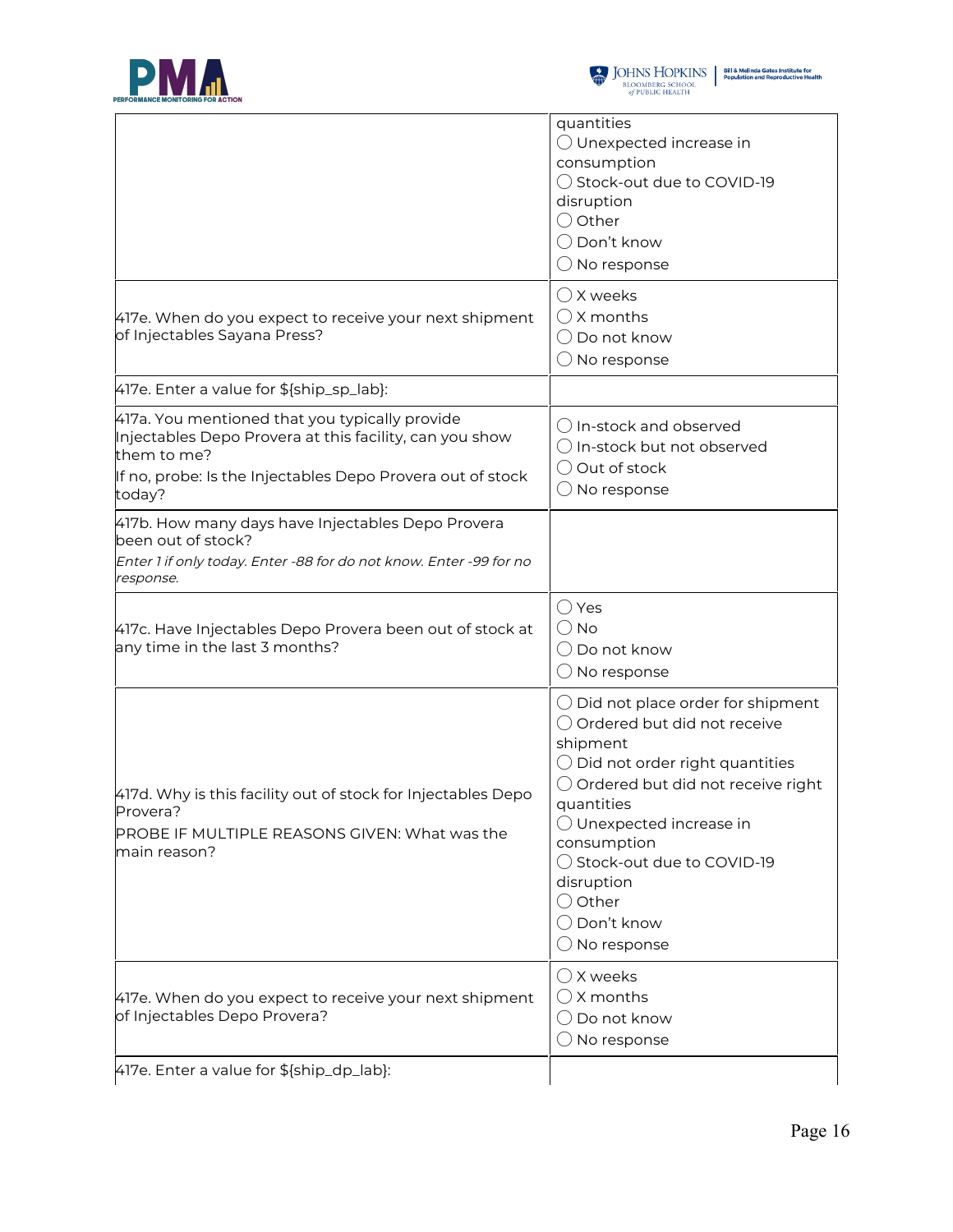



|                                                                                                                                                                                                  | quantities<br>◯ Unexpected increase in<br>consumption<br>◯ Stock-out due to COVID-19<br>disruption<br>$\bigcirc$ Other<br>$\bigcirc$ Don't know<br>$\bigcirc$ No response                                                                                                                                                                                          |
|--------------------------------------------------------------------------------------------------------------------------------------------------------------------------------------------------|--------------------------------------------------------------------------------------------------------------------------------------------------------------------------------------------------------------------------------------------------------------------------------------------------------------------------------------------------------------------|
| 417e. When do you expect to receive your next shipment<br>of Injectables Sayana Press?                                                                                                           | $\bigcirc$ X weeks<br>$()$ X months<br>$\bigcirc$ Do not know<br>$\bigcirc$ No response                                                                                                                                                                                                                                                                            |
| 417e. Enter a value for \${ship_sp_lab}:                                                                                                                                                         |                                                                                                                                                                                                                                                                                                                                                                    |
| 417a. You mentioned that you typically provide<br>Injectables Depo Provera at this facility, can you show<br>them to me?<br>If no, probe: Is the Injectables Depo Provera out of stock<br>today? | $\bigcirc$ In-stock and observed<br>$\bigcirc$ In-stock but not observed<br>◯ Out of stock<br>$\bigcirc$ No response                                                                                                                                                                                                                                               |
| 417b. How many days have Injectables Depo Provera<br>been out of stock?<br>Enter 1 if only today. Enter -88 for do not know. Enter -99 for no<br>response.                                       |                                                                                                                                                                                                                                                                                                                                                                    |
| 417c. Have Injectables Depo Provera been out of stock at<br>any time in the last 3 months?                                                                                                       | $\bigcirc$ Yes<br>$\bigcirc$ No<br>$\bigcirc$ Do not know<br>$\bigcirc$ No response                                                                                                                                                                                                                                                                                |
| 417d. Why is this facility out of stock for Injectables Depo<br>Provera?<br>PROBE IF MULTIPLE REASONS GIVEN: What was the<br>main reason?                                                        | $\bigcirc$ Did not place order for shipment<br>○ Ordered but did not receive<br>shipment<br>$\bigcirc$ Did not order right quantities<br>$\bigcirc$ Ordered but did not receive right<br>quantities<br>$\bigcirc$ Unexpected increase in<br>consumption<br>◯ Stock-out due to COVID-19<br>disruption<br>$\bigcirc$ Other<br>◯ Don't know<br>$\bigcirc$ No response |
| 417e. When do you expect to receive your next shipment<br>of Injectables Depo Provera?                                                                                                           | $\bigcirc$ X weeks<br>$\bigcirc$ X months<br>$\bigcirc$ Do not know<br>$\bigcirc$ No response                                                                                                                                                                                                                                                                      |
| 417e. Enter a value for \${ship_dp_lab}:                                                                                                                                                         |                                                                                                                                                                                                                                                                                                                                                                    |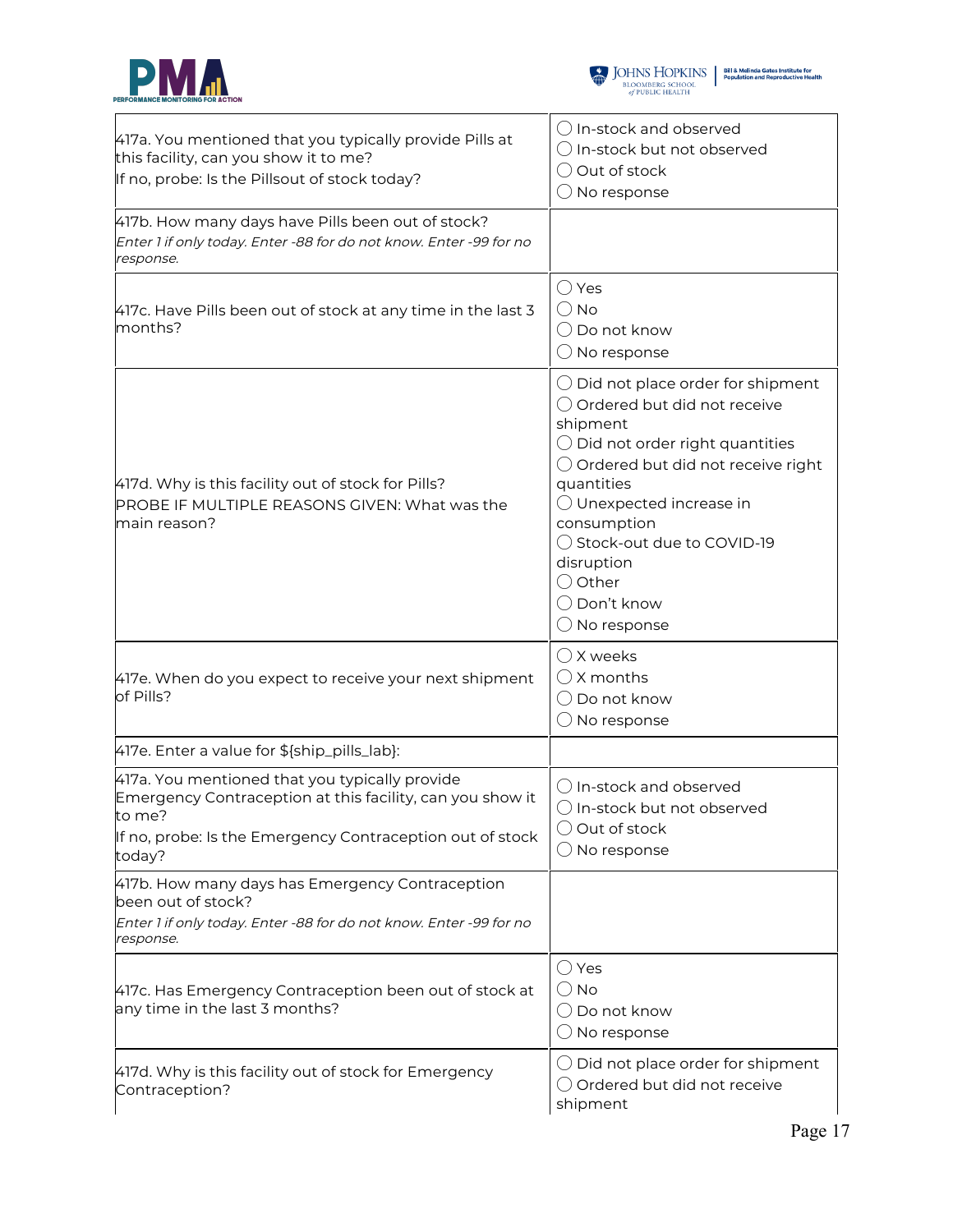



| 417a. You mentioned that you typically provide Pills at<br>this facility, can you show it to me?<br>If no, probe: Is the Pillsout of stock today?                                             | () In-stock and observed<br>◯ In-stock but not observed<br>O Out of stock<br>$\bigcirc$ No response                                                                                                                                                                                                                                                                         |
|-----------------------------------------------------------------------------------------------------------------------------------------------------------------------------------------------|-----------------------------------------------------------------------------------------------------------------------------------------------------------------------------------------------------------------------------------------------------------------------------------------------------------------------------------------------------------------------------|
| 417b. How many days have Pills been out of stock?<br>Enter 1 if only today. Enter -88 for do not know. Enter -99 for no<br>response.                                                          |                                                                                                                                                                                                                                                                                                                                                                             |
| 417c. Have Pills been out of stock at any time in the last 3<br>months?                                                                                                                       | $\bigcirc$ Yes<br>$\bigcirc$ No<br>$\bigcirc$ Do not know<br>$\bigcirc$ No response                                                                                                                                                                                                                                                                                         |
| 417d. Why is this facility out of stock for Pills?<br>PROBE IF MULTIPLE REASONS GIVEN: What was the<br>main reason?                                                                           | $\bigcirc$ Did not place order for shipment<br>○ Ordered but did not receive<br>shipment<br>$\bigcirc$ Did not order right quantities<br>$\bigcirc$ Ordered but did not receive right<br>quantities<br>$\bigcirc$ Unexpected increase in<br>consumption<br>◯ Stock-out due to COVID-19<br>disruption<br>$\bigcirc$ Other<br>$\bigcirc$ Don't know<br>$\bigcirc$ No response |
| 417e. When do you expect to receive your next shipment<br>of Pills?                                                                                                                           | $\bigcirc$ X weeks<br>$\bigcirc$ X months<br>$\bigcirc$ Do not know<br>$\bigcirc$ No response                                                                                                                                                                                                                                                                               |
| 417e. Enter a value for \${ship_pills_lab}:                                                                                                                                                   |                                                                                                                                                                                                                                                                                                                                                                             |
| 417a. You mentioned that you typically provide<br>Emergency Contraception at this facility, can you show it<br>to me ?<br>If no, probe: Is the Emergency Contraception out of stock<br>today? | $\bigcirc$ In-stock and observed<br>In-stock but not observed<br>$\bigcirc$ Out of stock<br>$\bigcirc$ No response                                                                                                                                                                                                                                                          |
| 417b. How many days has Emergency Contraception<br>been out of stock?<br>Enter 1 if only today. Enter -88 for do not know. Enter -99 for no<br>response.                                      |                                                                                                                                                                                                                                                                                                                                                                             |
| 417c. Has Emergency Contraception been out of stock at<br>any time in the last 3 months?                                                                                                      | $\bigcirc$ Yes<br>$\bigcirc$ No<br>$\bigcirc$ Do not know<br>$\bigcirc$ No response                                                                                                                                                                                                                                                                                         |
| 417d. Why is this facility out of stock for Emergency<br>Contraception?                                                                                                                       | $\bigcirc$ Did not place order for shipment<br>◯ Ordered but did not receive<br>shipment                                                                                                                                                                                                                                                                                    |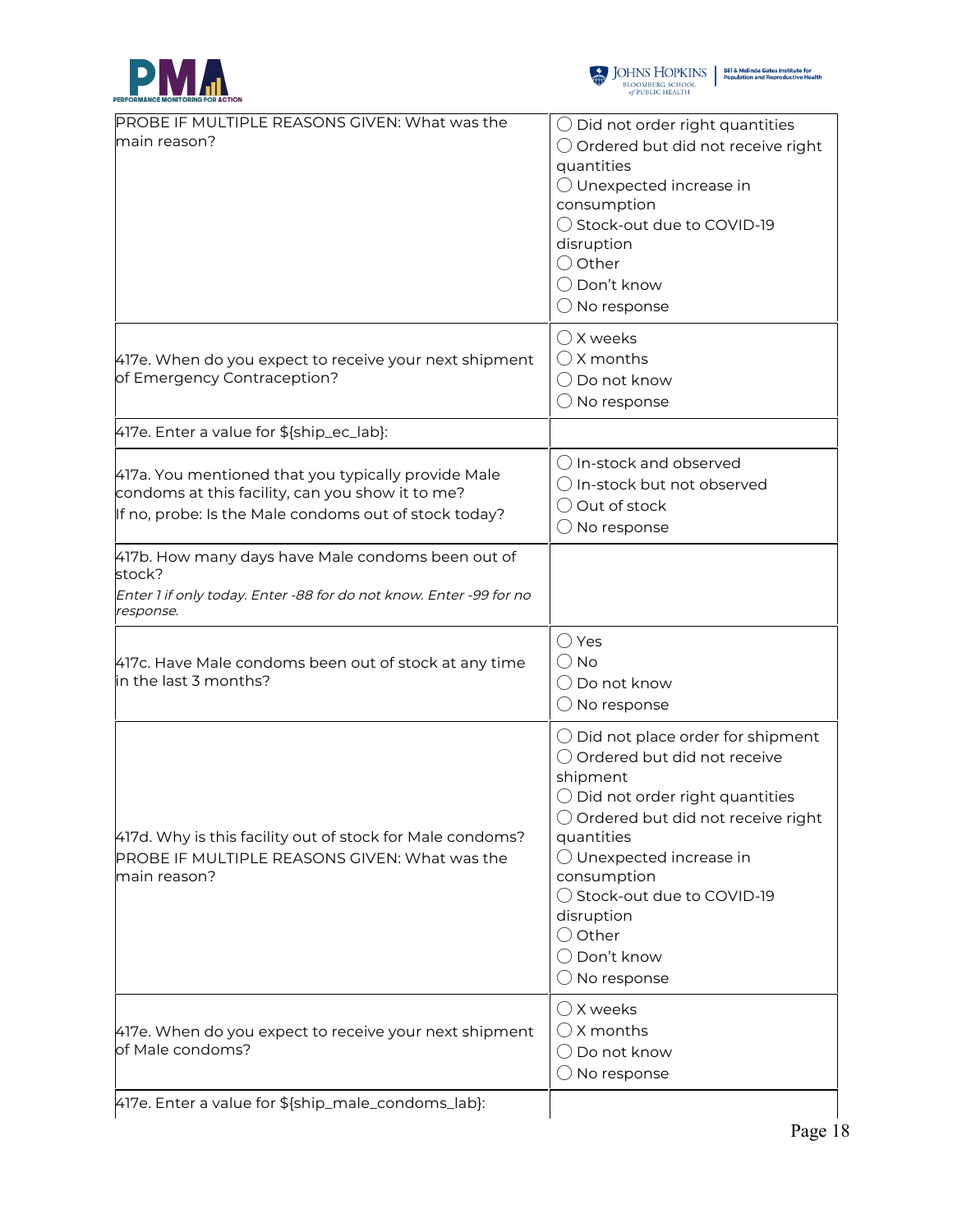



| PROBE IF MULTIPLE REASONS GIVEN: What was the                                                                                                                    | $\bigcirc$ Did not order right quantities                                                                                                                                                                                                                                                                                                                 |
|------------------------------------------------------------------------------------------------------------------------------------------------------------------|-----------------------------------------------------------------------------------------------------------------------------------------------------------------------------------------------------------------------------------------------------------------------------------------------------------------------------------------------------------|
| main reason?                                                                                                                                                     | $\bigcirc$ Ordered but did not receive right<br>quantities<br>◯ Unexpected increase in<br>consumption<br>◯ Stock-out due to COVID-19<br>disruption<br>$\bigcirc$ Other<br>◯ Don't know<br>$\bigcirc$ No response                                                                                                                                          |
| 417e. When do you expect to receive your next shipment<br>of Emergency Contraception?                                                                            | $\bigcirc$ X weeks<br>$\bigcirc$ X months<br>$\bigcirc$ Do not know<br>$\bigcirc$ No response                                                                                                                                                                                                                                                             |
| 417e. Enter a value for \${ship_ec_lab}:                                                                                                                         |                                                                                                                                                                                                                                                                                                                                                           |
| 417a. You mentioned that you typically provide Male<br>condoms at this facility, can you show it to me?<br>If no, probe: Is the Male condoms out of stock today? | () In-stock and observed<br>$\bigcirc$ In-stock but not observed<br>$\bigcirc$ Out of stock<br>$\bigcirc$ No response                                                                                                                                                                                                                                     |
| 417b. How many days have Male condoms been out of<br>stock?<br>Enter 1 if only today. Enter -88 for do not know. Enter -99 for no<br>response.                   |                                                                                                                                                                                                                                                                                                                                                           |
| 417c. Have Male condoms been out of stock at any time<br>in the last 3 months?                                                                                   | $\bigcirc$ Yes<br>$\bigcirc$ No<br>$\bigcirc$ Do not know<br>$\bigcirc$ No response                                                                                                                                                                                                                                                                       |
| 417d. Why is this facility out of stock for Male condoms?<br>PROBE IF MULTIPLE REASONS GIVEN: What was the<br>main reason?                                       | $\bigcirc$ Did not place order for shipment<br>○ Ordered but did not receive<br>shipment<br>$\bigcirc$ Did not order right quantities<br>$\bigcirc$ Ordered but did not receive right<br>quantities<br>◯ Unexpected increase in<br>consumption<br>◯ Stock-out due to COVID-19<br>disruption<br>$\bigcirc$ Other<br>◯ Don't know<br>$\bigcirc$ No response |
| 417e. When do you expect to receive your next shipment<br>of Male condoms?                                                                                       | $\bigcirc$ X weeks<br>$\bigcirc$ X months<br>$\bigcirc$ Do not know<br>$\bigcirc$ No response                                                                                                                                                                                                                                                             |
| 417e. Enter a value for \${ship_male_condoms_lab}:                                                                                                               |                                                                                                                                                                                                                                                                                                                                                           |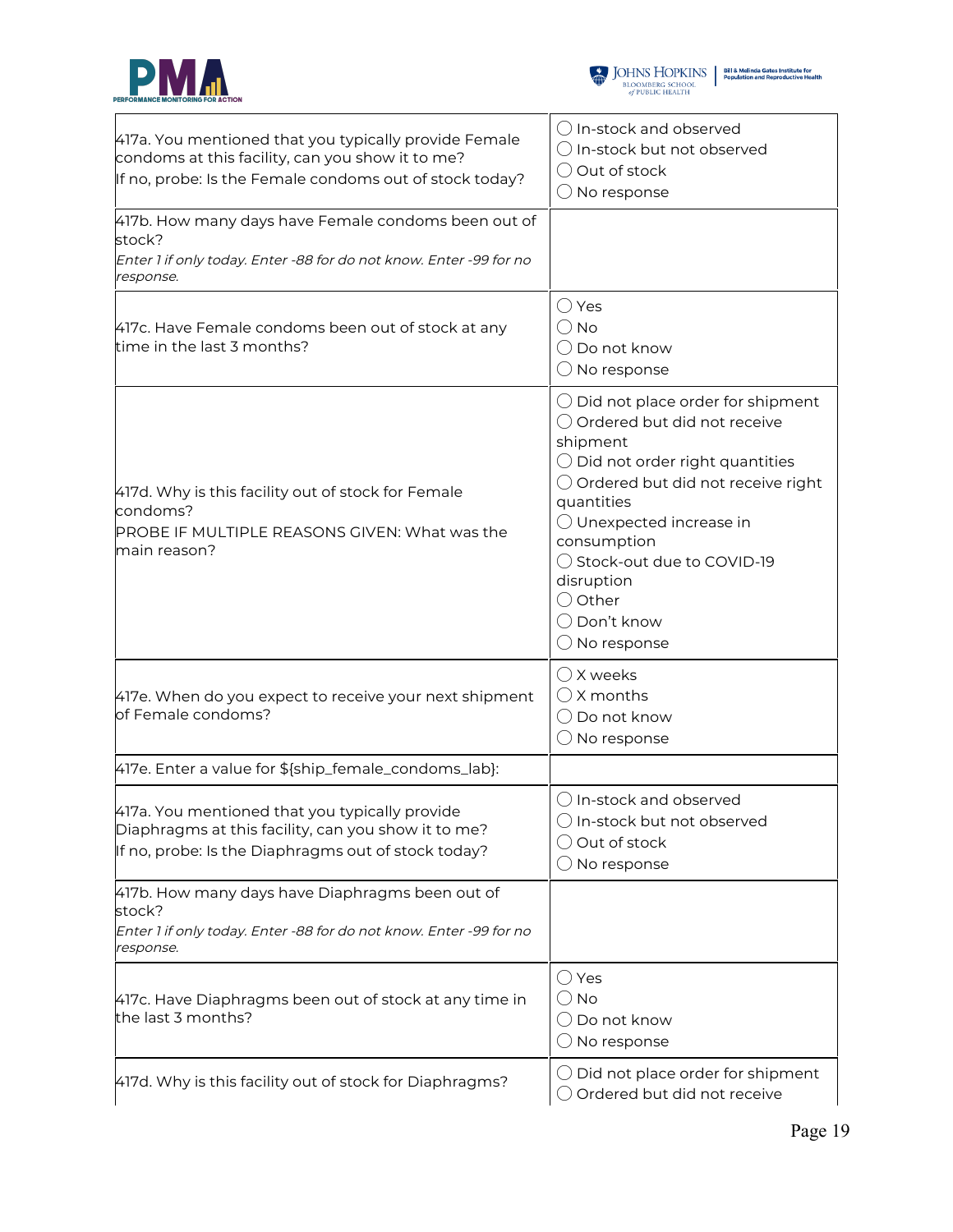



| 417a. You mentioned that you typically provide Female<br>condoms at this facility, can you show it to me?<br>If no, probe: Is the Female condoms out of stock today? | $\bigcirc$ In-stock and observed<br>$\bigcirc$ In-stock but not observed<br>◯ Out of stock<br>$\bigcirc$ No response                                                                                                                                                                                                                                                        |
|----------------------------------------------------------------------------------------------------------------------------------------------------------------------|-----------------------------------------------------------------------------------------------------------------------------------------------------------------------------------------------------------------------------------------------------------------------------------------------------------------------------------------------------------------------------|
| 417b. How many days have Female condoms been out of<br>stock?<br>Enter 1 if only today. Enter -88 for do not know. Enter -99 for no<br>response.                     |                                                                                                                                                                                                                                                                                                                                                                             |
| 417c. Have Female condoms been out of stock at any<br>time in the last 3 months?                                                                                     | $\bigcirc$ Yes<br>$\bigcirc$ No<br>◯ Do not know<br>$\bigcirc$ No response                                                                                                                                                                                                                                                                                                  |
| 417d. Why is this facility out of stock for Female<br>condoms?<br>PROBE IF MULTIPLE REASONS GIVEN: What was the<br>main reason?                                      | $\bigcirc$ Did not place order for shipment<br>○ Ordered but did not receive<br>shipment<br>$\bigcirc$ Did not order right quantities<br>$\bigcirc$ Ordered but did not receive right<br>quantities<br>$\bigcirc$ Unexpected increase in<br>consumption<br>◯ Stock-out due to COVID-19<br>disruption<br>$\bigcirc$ Other<br>$\bigcirc$ Don't know<br>$\bigcirc$ No response |
| 417e. When do you expect to receive your next shipment<br>of Female condoms?                                                                                         | $\bigcirc$ X weeks<br>$\bigcirc$ X months<br>$\bigcirc$ Do not know<br>$\bigcirc$ No response                                                                                                                                                                                                                                                                               |
| 417e. Enter a value for \${ship_female_condoms_lab}:                                                                                                                 |                                                                                                                                                                                                                                                                                                                                                                             |
| 417a. You mentioned that you typically provide<br>Diaphragms at this facility, can you show it to me?<br>If no, probe: Is the Diaphragms out of stock today?         | $\bigcirc$ In-stock and observed<br>$\bigcirc$ In-stock but not observed<br>$\bigcirc$ Out of stock<br>$\bigcirc$ No response                                                                                                                                                                                                                                               |
| 417b. How many days have Diaphragms been out of<br>stock?<br>Enter 1 if only today. Enter -88 for do not know. Enter -99 for no<br>response.                         |                                                                                                                                                                                                                                                                                                                                                                             |
| 417c. Have Diaphragms been out of stock at any time in<br>the last 3 months?                                                                                         | $\bigcirc$ Yes<br>$\bigcirc$ No<br>$\bigcirc$ Do not know<br>$\bigcirc$ No response                                                                                                                                                                                                                                                                                         |
| 417d. Why is this facility out of stock for Diaphragms?                                                                                                              | $\bigcirc$ Did not place order for shipment<br>$\bigcirc$ Ordered but did not receive                                                                                                                                                                                                                                                                                       |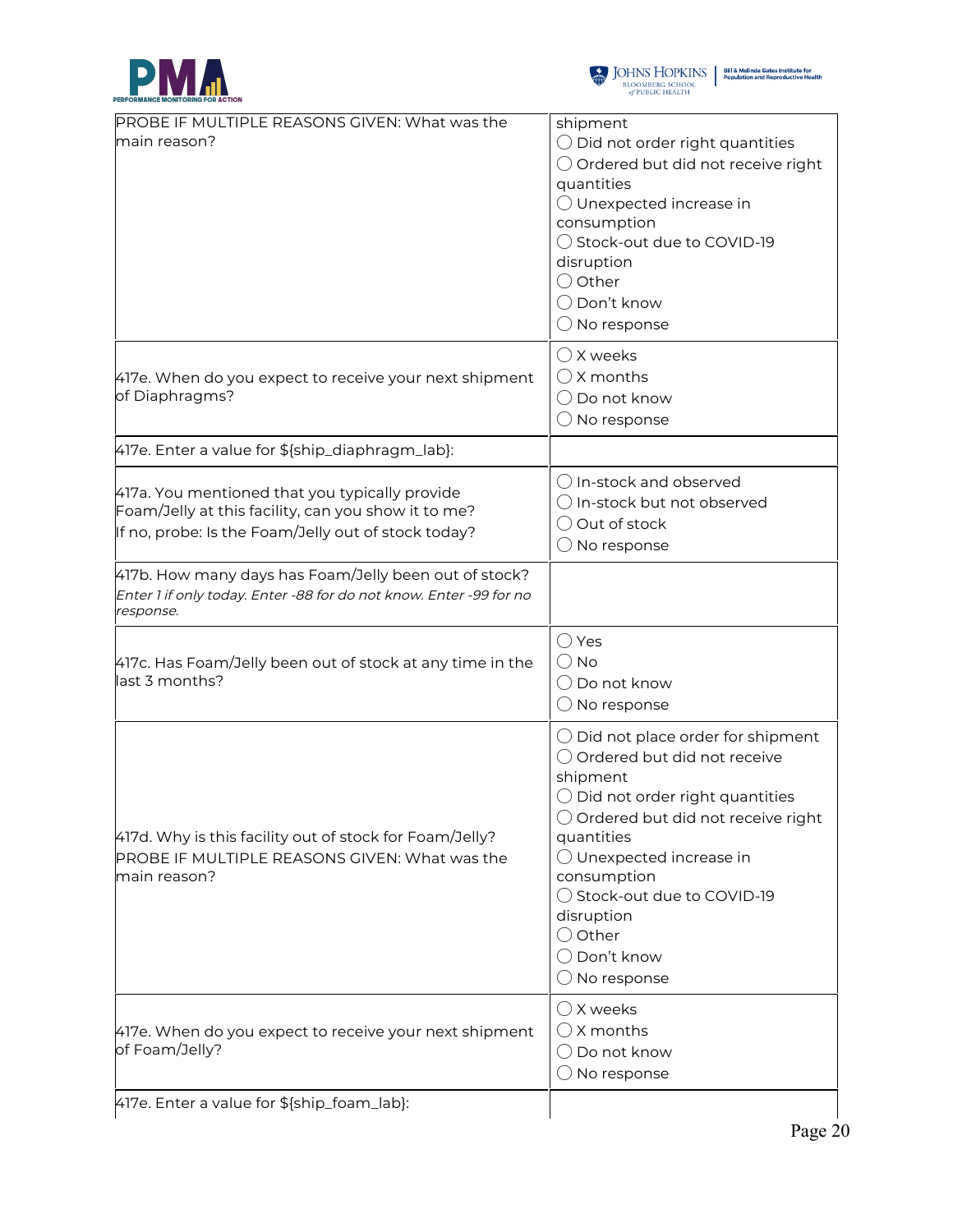



| PROBE IF MULTIPLE REASONS GIVEN: What was the                                                                                                                | shipment                                                                                                                                                                                                                                                                                                                                                                    |
|--------------------------------------------------------------------------------------------------------------------------------------------------------------|-----------------------------------------------------------------------------------------------------------------------------------------------------------------------------------------------------------------------------------------------------------------------------------------------------------------------------------------------------------------------------|
| main reason?                                                                                                                                                 | $\bigcirc$ Did not order right quantities<br>$\bigcirc$ Ordered but did not receive right<br>quantities<br>$\bigcirc$ Unexpected increase in<br>consumption<br>◯ Stock-out due to COVID-19<br>disruption<br>◯ Other<br>◯ Don't know<br>$\bigcirc$ No response                                                                                                               |
| 417e. When do you expect to receive your next shipment<br>of Diaphragms?                                                                                     | $\bigcirc$ X weeks<br>$\bigcirc$ X months<br>$\bigcirc$ Do not know<br>$\bigcirc$ No response                                                                                                                                                                                                                                                                               |
| 417e. Enter a value for \${ship_diaphragm_lab}:                                                                                                              |                                                                                                                                                                                                                                                                                                                                                                             |
| 417a. You mentioned that you typically provide<br>Foam/Jelly at this facility, can you show it to me?<br>If no, probe: Is the Foam/Jelly out of stock today? | () In-stock and observed<br>$\bigcirc$ In-stock but not observed<br>$\bigcirc$ Out of stock<br>$\bigcirc$ No response                                                                                                                                                                                                                                                       |
| 417b. How many days has Foam/Jelly been out of stock?<br>Enter 1 if only today. Enter -88 for do not know. Enter -99 for no<br>response.                     |                                                                                                                                                                                                                                                                                                                                                                             |
| 417c. Has Foam/Jelly been out of stock at any time in the<br>last 3 months?                                                                                  | $\bigcirc$ Yes<br>$\bigcirc$ No<br>$\bigcirc$ Do not know<br>$\bigcirc$ No response                                                                                                                                                                                                                                                                                         |
| 417d. Why is this facility out of stock for Foam/Jelly?<br>PROBE IF MULTIPLE REASONS GIVEN: What was the<br>main reason?                                     | $\bigcirc$ Did not place order for shipment<br>○ Ordered but did not receive<br>shipment<br>$\bigcirc$ Did not order right quantities<br>$\bigcirc$ Ordered but did not receive right<br>quantities<br>$\bigcirc$ Unexpected increase in<br>consumption<br>◯ Stock-out due to COVID-19<br>disruption<br>$\bigcirc$ Other<br>$\bigcirc$ Don't know<br>$\bigcirc$ No response |
| 417e. When do you expect to receive your next shipment<br>of Foam/Jelly?                                                                                     | ◯ X weeks<br>$\bigcirc$ X months<br>$\bigcirc$ Do not know<br>$\bigcirc$ No response                                                                                                                                                                                                                                                                                        |
| 417e. Enter a value for \${ship_foam_lab}:                                                                                                                   |                                                                                                                                                                                                                                                                                                                                                                             |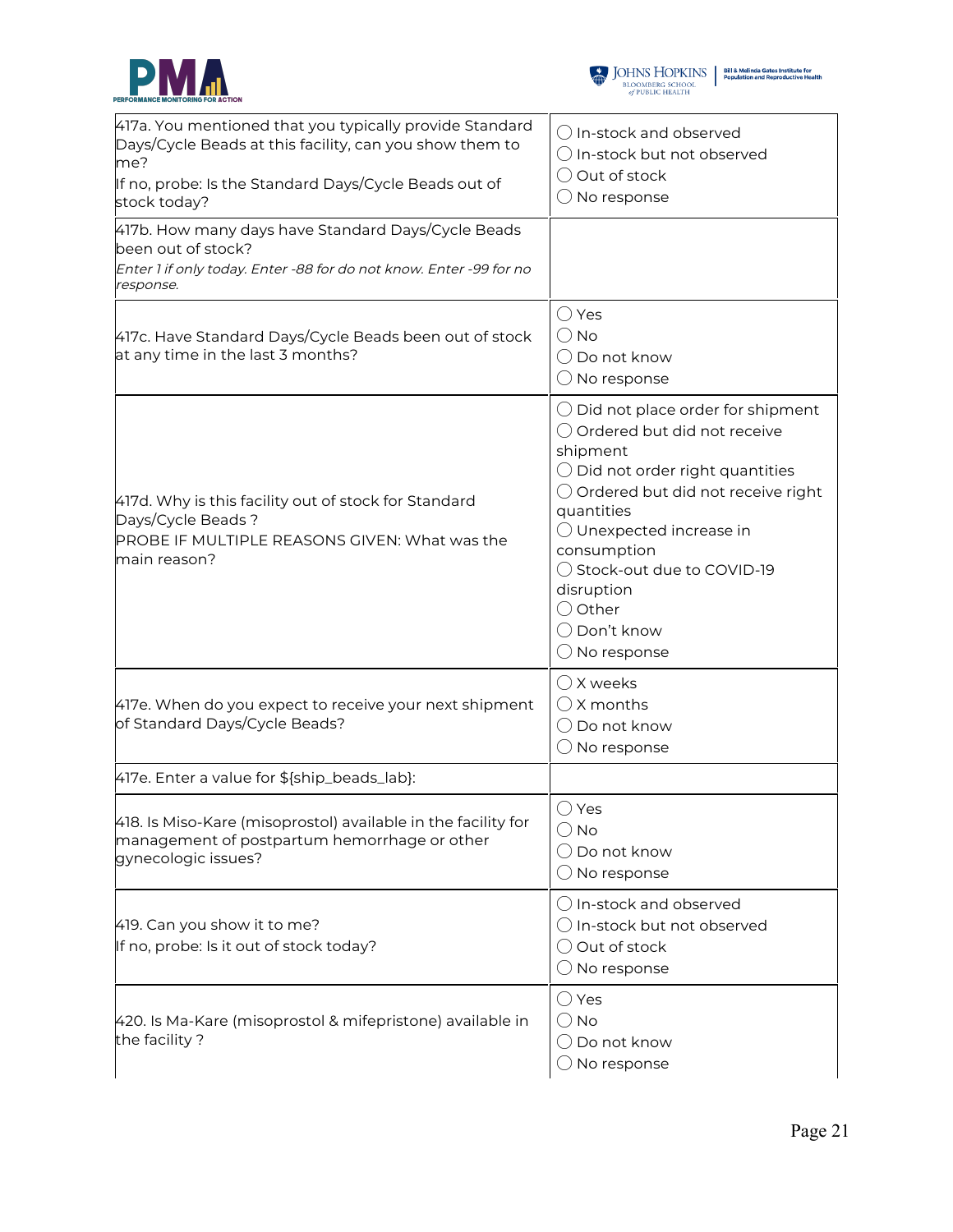



| 417a. You mentioned that you typically provide Standard<br>Days/Cycle Beads at this facility, can you show them to<br>me?<br>If no, probe: Is the Standard Days/Cycle Beads out of<br>stock today? | $\bigcirc$ In-stock and observed<br>$\bigcirc$ In-stock but not observed<br>◯ Out of stock<br>$\bigcirc$ No response                                                                                                                                                                                                                                               |
|----------------------------------------------------------------------------------------------------------------------------------------------------------------------------------------------------|--------------------------------------------------------------------------------------------------------------------------------------------------------------------------------------------------------------------------------------------------------------------------------------------------------------------------------------------------------------------|
| 417b. How many days have Standard Days/Cycle Beads<br>been out of stock?<br>Enter 1 if only today. Enter -88 for do not know. Enter -99 for no<br>response.                                        |                                                                                                                                                                                                                                                                                                                                                                    |
| 417c. Have Standard Days/Cycle Beads been out of stock<br>at any time in the last 3 months?                                                                                                        | $\bigcirc$ Yes<br>$\bigcirc$ No<br>$\bigcirc$ Do not know<br>$\bigcirc$ No response                                                                                                                                                                                                                                                                                |
| 417d. Why is this facility out of stock for Standard<br>Days/Cycle Beads?<br>PROBE IF MULTIPLE REASONS GIVEN: What was the<br>main reason?                                                         | $\bigcirc$ Did not place order for shipment<br>○ Ordered but did not receive<br>shipment<br>$\bigcirc$ Did not order right quantities<br>$\bigcirc$ Ordered but did not receive right<br>quantities<br>$\bigcirc$ Unexpected increase in<br>consumption<br>◯ Stock-out due to COVID-19<br>disruption<br>○ Other<br>$\bigcirc$ Don't know<br>$\bigcirc$ No response |
| 417e. When do you expect to receive your next shipment<br>of Standard Days/Cycle Beads?                                                                                                            | $\bigcirc$ X weeks<br>$\bigcirc$ X months<br>$\bigcirc$ Do not know<br>$\bigcirc$ No response                                                                                                                                                                                                                                                                      |
| 417e. Enter a value for \${ship_beads_lab}:                                                                                                                                                        |                                                                                                                                                                                                                                                                                                                                                                    |
| 418. Is Miso-Kare (misoprostol) available in the facility for<br>management of postpartum hemorrhage or other<br>gynecologic issues?                                                               | ◯ Yes<br>$\bigcirc$ No<br>$\bigcirc$ Do not know<br>$\bigcirc$ No response                                                                                                                                                                                                                                                                                         |
| 419. Can you show it to me?<br>If no, probe: Is it out of stock today?                                                                                                                             | $\bigcirc$ In-stock and observed<br>$\bigcirc$ In-stock but not observed<br>$\bigcirc$ Out of stock<br>$\bigcirc$ No response                                                                                                                                                                                                                                      |
| 420. Is Ma-Kare (misoprostol & mifepristone) available in<br>the facility?                                                                                                                         | $\bigcirc$ Yes<br>$\bigcirc$ No<br>$\bigcirc$ Do not know<br>$\bigcirc$ No response                                                                                                                                                                                                                                                                                |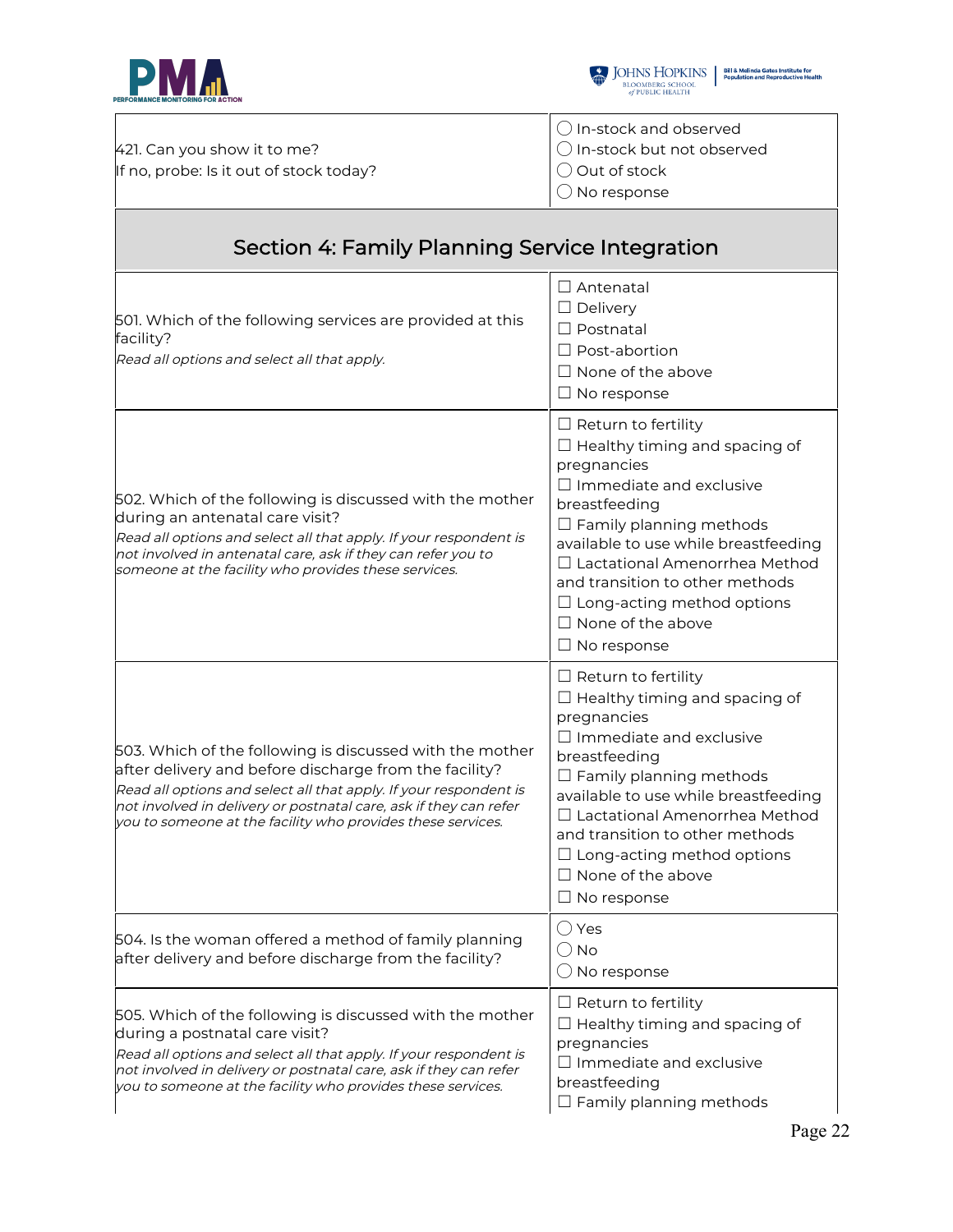

ा



|                                         | $\left\{\left(\right)$ In-stock and observed |
|-----------------------------------------|----------------------------------------------|
| 421. Can you show it to me?             | │ ○ In-stock but not observed                |
| If no, probe: Is it out of stock today? | $\bigcirc$ Out of stock                      |
|                                         | $\bigcirc$ No response                       |
|                                         |                                              |

## Section 4: Family Planning Service Integration

| 501. Which of the following services are provided at this<br>facility?<br>Read all options and select all that apply.                                                                                                                                                                                                       | $\Box$ Antenatal<br>$\Box$ Delivery<br>$\Box$ Postnatal<br>$\Box$ Post-abortion<br>$\Box$ None of the above<br>$\Box$ No response                                                                                                                                                                                                                                                |
|-----------------------------------------------------------------------------------------------------------------------------------------------------------------------------------------------------------------------------------------------------------------------------------------------------------------------------|----------------------------------------------------------------------------------------------------------------------------------------------------------------------------------------------------------------------------------------------------------------------------------------------------------------------------------------------------------------------------------|
| 502. Which of the following is discussed with the mother<br>during an antenatal care visit?<br>Read all options and select all that apply. If your respondent is<br>not involved in antenatal care, ask if they can refer you to<br>someone at the facility who provides these services.                                    | $\Box$ Return to fertility<br>$\Box$ Healthy timing and spacing of<br>pregnancies<br>$\Box$ Immediate and exclusive<br>breastfeeding<br>$\Box$ Family planning methods<br>available to use while breastfeeding<br>□ Lactational Amenorrhea Method<br>and transition to other methods<br>$\Box$ Long-acting method options<br>$\Box$ None of the above<br>$\Box$ No response      |
| 503. Which of the following is discussed with the mother<br>after delivery and before discharge from the facility?<br>Read all options and select all that apply. If your respondent is<br>not involved in delivery or postnatal care, ask if they can refer<br>you to someone at the facility who provides these services. | $\Box$ Return to fertility<br>$\Box$ Healthy timing and spacing of<br>pregnancies<br>$\Box$ Immediate and exclusive<br>breastfeeding<br>$\Box$ Family planning methods<br>available to use while breastfeeding<br>$\Box$ Lactational Amenorrhea Method<br>and transition to other methods<br>$\Box$ Long-acting method options<br>$\Box$ None of the above<br>$\Box$ No response |
| 504. Is the woman offered a method of family planning<br>after delivery and before discharge from the facility?                                                                                                                                                                                                             | $\bigcirc$ Yes<br>() No<br>$\bigcirc$ No response                                                                                                                                                                                                                                                                                                                                |
| 505. Which of the following is discussed with the mother<br>during a postnatal care visit?<br>Read all options and select all that apply. If your respondent is<br>not involved in delivery or postnatal care, ask if they can refer<br>you to someone at the facility who provides these services.                         | $\Box$ Return to fertility<br>$\Box$ Healthy timing and spacing of<br>pregnancies<br>$\Box$ Immediate and exclusive<br>breastfeeding<br>$\Box$ Family planning methods                                                                                                                                                                                                           |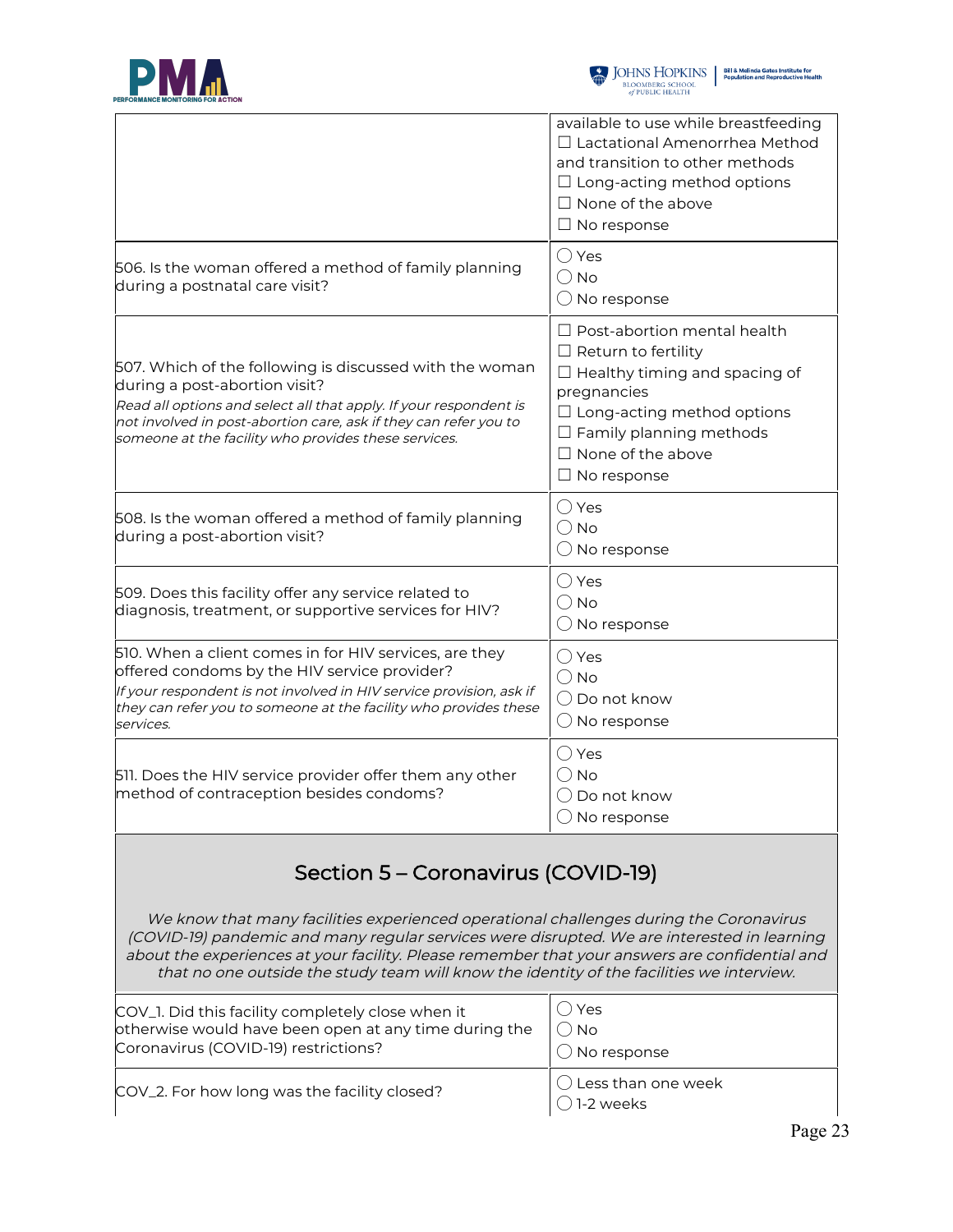



|                                                                                                                                                                                                                                                                                                                                                                                      | available to use while breastfeeding<br>□ Lactational Amenorrhea Method<br>and transition to other methods<br>$\Box$ Long-acting method options<br>$\Box$ None of the above<br>$\Box$ No response                                                |  |
|--------------------------------------------------------------------------------------------------------------------------------------------------------------------------------------------------------------------------------------------------------------------------------------------------------------------------------------------------------------------------------------|--------------------------------------------------------------------------------------------------------------------------------------------------------------------------------------------------------------------------------------------------|--|
| 506. Is the woman offered a method of family planning<br>during a postnatal care visit?                                                                                                                                                                                                                                                                                              | $\bigcirc$ Yes<br>$\bigcirc$ No<br>$\bigcirc$ No response                                                                                                                                                                                        |  |
| 507. Which of the following is discussed with the woman<br>during a post-abortion visit?<br>Read all options and select all that apply. If your respondent is<br>not involved in post-abortion care, ask if they can refer you to<br>someone at the facility who provides these services.                                                                                            | $\Box$ Post-abortion mental health<br>$\Box$ Return to fertility<br>$\Box$ Healthy timing and spacing of<br>pregnancies<br>$\Box$ Long-acting method options<br>$\Box$ Family planning methods<br>$\Box$ None of the above<br>$\Box$ No response |  |
| 508. Is the woman offered a method of family planning<br>during a post-abortion visit?                                                                                                                                                                                                                                                                                               | $\bigcirc$ Yes<br>$\bigcirc$ No<br>$\bigcirc$ No response                                                                                                                                                                                        |  |
| 509. Does this facility offer any service related to<br>diagnosis, treatment, or supportive services for HIV?                                                                                                                                                                                                                                                                        | $\bigcirc$ Yes<br>$\bigcirc$ No<br>$\bigcirc$ No response                                                                                                                                                                                        |  |
| 510. When a client comes in for HIV services, are they<br>offered condoms by the HIV service provider?<br>If your respondent is not involved in HIV service provision, ask if<br>they can refer you to someone at the facility who provides these<br>services.                                                                                                                       | $\bigcirc$ Yes<br>$\bigcirc$ No<br>$\bigcirc$ Do not know<br>$\bigcirc$ No response                                                                                                                                                              |  |
| 511. Does the HIV service provider offer them any other<br>method of contraception besides condoms?                                                                                                                                                                                                                                                                                  | $\bigcirc$ Yes<br>$\bigcirc$ No<br>( ) Do not know<br>$\bigcirc$ No response                                                                                                                                                                     |  |
| Section 5 – Coronavirus (COVID-19)                                                                                                                                                                                                                                                                                                                                                   |                                                                                                                                                                                                                                                  |  |
| We know that many facilities experienced operational challenges during the Coronavirus<br>(COVID-19) pandemic and many regular services were disrupted. We are interested in learning<br>about the experiences at your facility. Please remember that your answers are confidential and<br>that no one outside the study team will know the identity of the facilities we interview. |                                                                                                                                                                                                                                                  |  |
|                                                                                                                                                                                                                                                                                                                                                                                      |                                                                                                                                                                                                                                                  |  |

| COV_1. Did this facility completely close when it     | ()Yes                                        |
|-------------------------------------------------------|----------------------------------------------|
| otherwise would have been open at any time during the | $()$ No                                      |
| Coronavirus (COVID-19) restrictions?                  | $\bigcirc$ No response                       |
| COV_2. For how long was the facility closed?          | $\bigcirc$ Less than one week<br>◯ 1-2 weeks |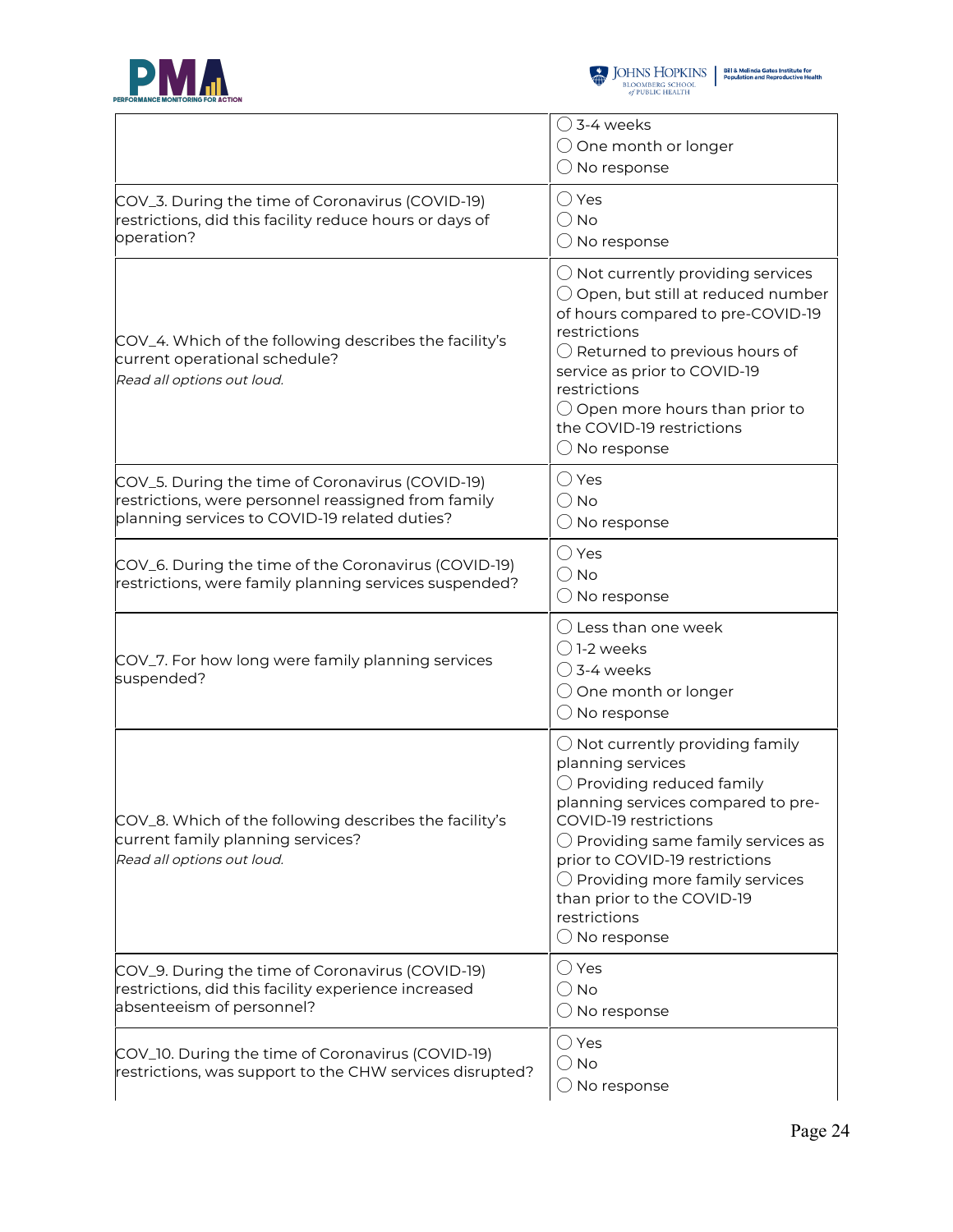



|                                                                                                                                                          | $\bigcirc$ 3-4 weeks<br>$\bigcirc$ One month or longer<br>$\bigcirc$ No response                                                                                                                                                                                                                                                                                            |
|----------------------------------------------------------------------------------------------------------------------------------------------------------|-----------------------------------------------------------------------------------------------------------------------------------------------------------------------------------------------------------------------------------------------------------------------------------------------------------------------------------------------------------------------------|
| COV_3. During the time of Coronavirus (COVID-19)<br>restrictions, did this facility reduce hours or days of<br>operation?                                | ◯ Yes<br>$\bigcirc$ No<br>$\bigcirc$ No response                                                                                                                                                                                                                                                                                                                            |
| COV_4. Which of the following describes the facility's<br>current operational schedule?<br>Read all options out loud.                                    | $\bigcirc$ Not currently providing services<br>$\bigcirc$ Open, but still at reduced number<br>of hours compared to pre-COVID-19<br>restrictions<br>$\bigcirc$ Returned to previous hours of<br>service as prior to COVID-19<br>restrictions<br>$\bigcirc$ Open more hours than prior to<br>the COVID-19 restrictions<br>$\bigcirc$ No response                             |
| COV_5. During the time of Coronavirus (COVID-19)<br>restrictions, were personnel reassigned from family<br>planning services to COVID-19 related duties? | $\bigcirc$ Yes<br>$\bigcirc$ No<br>$\bigcirc$ No response                                                                                                                                                                                                                                                                                                                   |
| COV_6. During the time of the Coronavirus (COVID-19)<br>restrictions, were family planning services suspended?                                           | $\bigcirc$ Yes<br>$\bigcirc$ No<br>$\bigcirc$ No response                                                                                                                                                                                                                                                                                                                   |
| COV_7. For how long were family planning services<br>suspended?                                                                                          | $\bigcirc$ Less than one week<br>$\bigcirc$ 1-2 weeks<br>$\bigcirc$ 3-4 weeks<br>$\bigcirc$ One month or longer<br>$\bigcirc$ No response                                                                                                                                                                                                                                   |
| COV_8. Which of the following describes the facility's<br>current family planning services?<br>Read all options out loud.                                | $\bigcirc$ Not currently providing family<br>planning services<br>$\bigcirc$ Providing reduced family<br>planning services compared to pre-<br>COVID-19 restrictions<br>$\bigcirc$ Providing same family services as<br>prior to COVID-19 restrictions<br>$\bigcirc$ Providing more family services<br>than prior to the COVID-19<br>restrictions<br>$\bigcirc$ No response |
| COV_9. During the time of Coronavirus (COVID-19)<br>restrictions, did this facility experience increased<br>absenteeism of personnel?                    | $\bigcirc$ Yes<br>$\bigcirc$ No<br>$\bigcirc$ No response                                                                                                                                                                                                                                                                                                                   |
| COV_10. During the time of Coronavirus (COVID-19)<br>restrictions, was support to the CHW services disrupted?                                            | $\bigcirc$ Yes<br>$\bigcirc$ No<br>$\bigcirc$ No response                                                                                                                                                                                                                                                                                                                   |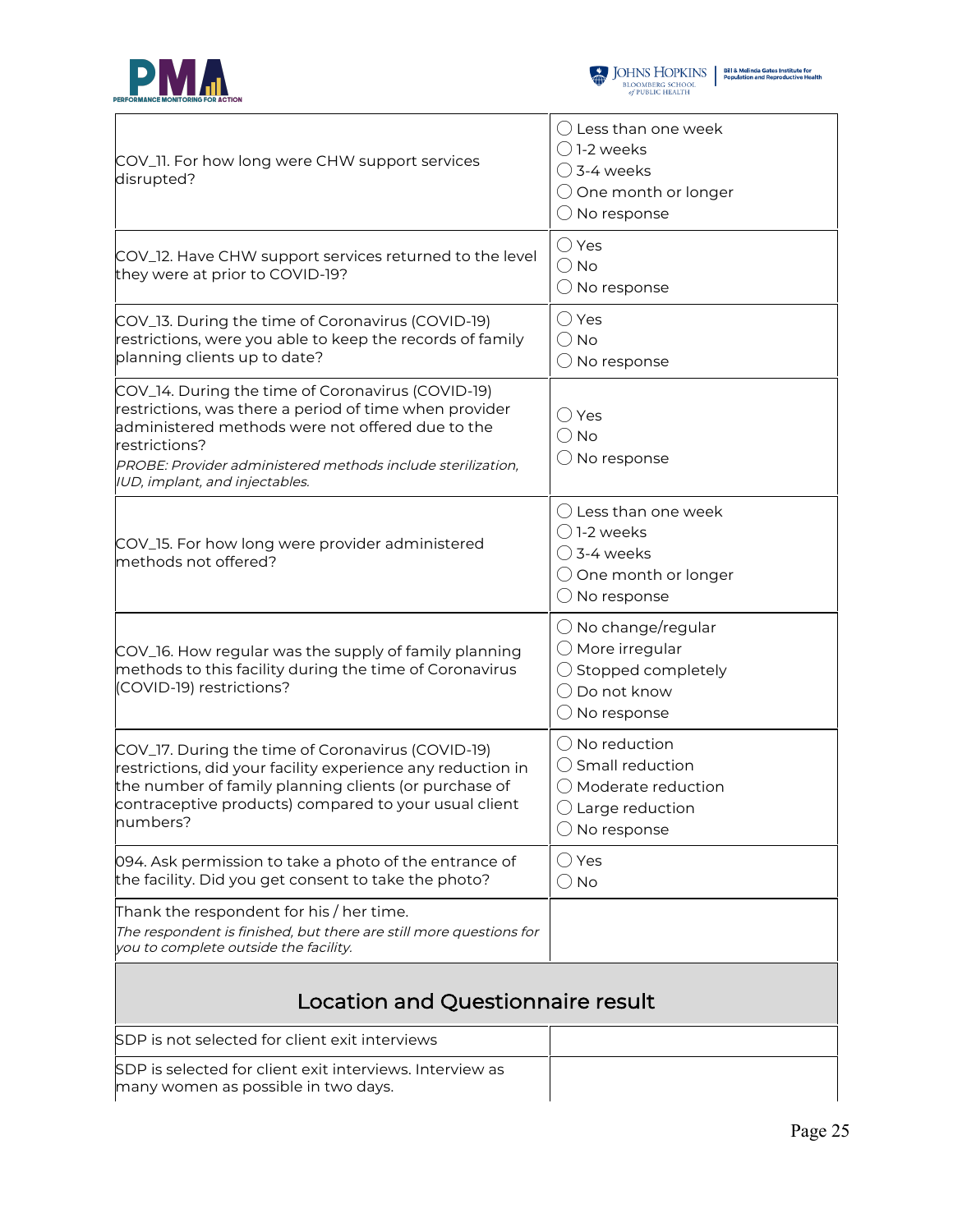



| COV_11. For how long were CHW support services<br>disrupted?                                                                                                                                                                                                                      | $\bigcirc$ Less than one week<br>( ) 1-2 weeks<br>$\bigcirc$ 3-4 weeks<br>$\bigcirc$ One month or longer<br>$\bigcirc$ No response             |  |
|-----------------------------------------------------------------------------------------------------------------------------------------------------------------------------------------------------------------------------------------------------------------------------------|------------------------------------------------------------------------------------------------------------------------------------------------|--|
| COV_12. Have CHW support services returned to the level<br>they were at prior to COVID-19?                                                                                                                                                                                        | $\bigcirc$ Yes<br>$\bigcirc$ No<br>$\bigcirc$ No response                                                                                      |  |
| COV_13. During the time of Coronavirus (COVID-19)<br>restrictions, were you able to keep the records of family<br>planning clients up to date?                                                                                                                                    | $\bigcirc$ Yes<br>$\bigcirc$ No<br>$\bigcirc$ No response                                                                                      |  |
| COV_14. During the time of Coronavirus (COVID-19)<br>restrictions, was there a period of time when provider<br>administered methods were not offered due to the<br>restrictions?<br>PROBE: Provider administered methods include sterilization,<br>IUD, implant, and injectables. | $\bigcirc$ Yes<br>$\bigcirc$ No<br>$\bigcirc$ No response                                                                                      |  |
| COV_15. For how long were provider administered<br>methods not offered?                                                                                                                                                                                                           | $\bigcirc$ Less than one week<br>$\bigcirc$ 1-2 weeks<br>$\bigcirc$ 3-4 weeks<br>$\bigcirc$ One month or longer<br>$\bigcirc$ No response      |  |
| COV_16. How regular was the supply of family planning<br>methods to this facility during the time of Coronavirus<br>(COVID-19) restrictions?                                                                                                                                      | $\bigcirc$ No change/regular<br>$\bigcirc$ More irregular<br>$\bigcirc$ Stopped completely<br>$\bigcirc$ Do not know<br>$\bigcirc$ No response |  |
| COV_17. During the time of Coronavirus (COVID-19)<br>restrictions, did your facility experience any reduction in<br>the number of family planning clients (or purchase of<br>contraceptive products) compared to your usual client<br>numbers?                                    | $\bigcirc$ No reduction<br>◯ Small reduction<br>◯ Moderate reduction<br>$\bigcirc$ Large reduction<br>$\bigcirc$ No response                   |  |
| 094. Ask permission to take a photo of the entrance of<br>the facility. Did you get consent to take the photo?                                                                                                                                                                    | ○ Yes<br>$\bigcirc$ No                                                                                                                         |  |
| Thank the respondent for his / her time.<br>The respondent is finished, but there are still more questions for<br>you to complete outside the facility.                                                                                                                           |                                                                                                                                                |  |
| Location and Questionnaire result                                                                                                                                                                                                                                                 |                                                                                                                                                |  |
| SDP is not selected for client exit interviews                                                                                                                                                                                                                                    |                                                                                                                                                |  |
| SDP is selected for client exit interviews. Interview as<br>many women as possible in two days.                                                                                                                                                                                   |                                                                                                                                                |  |